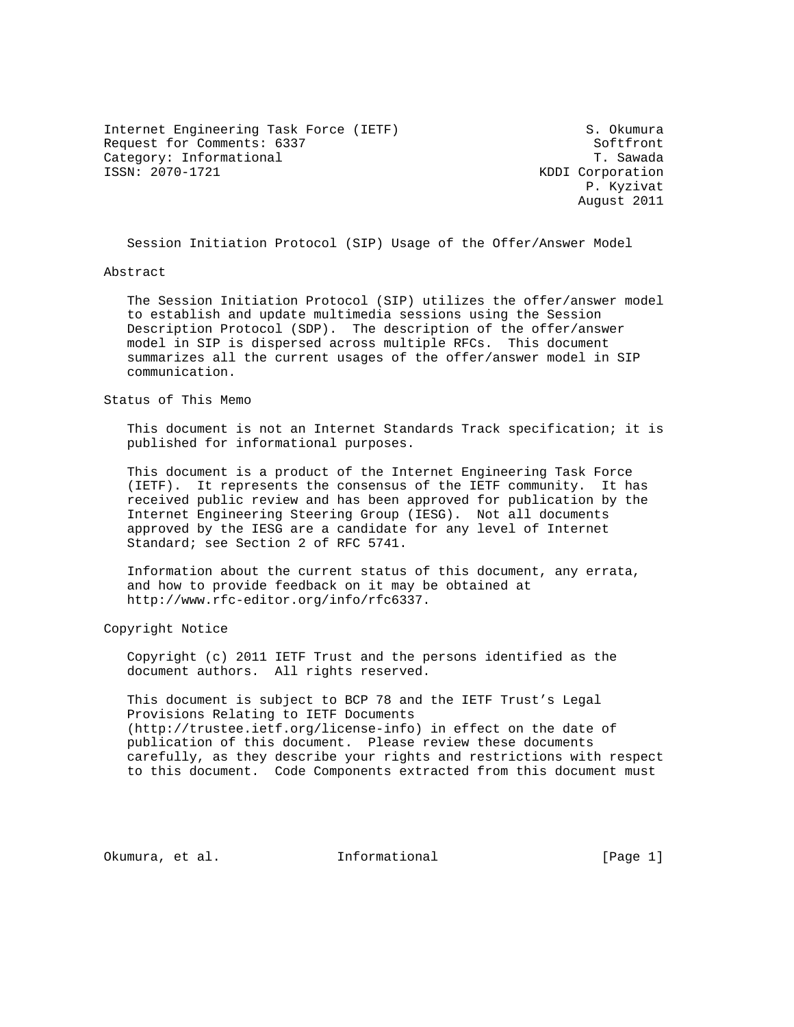Internet Engineering Task Force (IETF) S. Okumura Request for Comments: 6337 Softfront Category: Informational T. Sawada<br>ISSN: 2070-1721 KDDI Corporation

KDDI Corporation P. Kyzivat August 2011

Session Initiation Protocol (SIP) Usage of the Offer/Answer Model

### Abstract

 The Session Initiation Protocol (SIP) utilizes the offer/answer model to establish and update multimedia sessions using the Session Description Protocol (SDP). The description of the offer/answer model in SIP is dispersed across multiple RFCs. This document summarizes all the current usages of the offer/answer model in SIP communication.

### Status of This Memo

 This document is not an Internet Standards Track specification; it is published for informational purposes.

 This document is a product of the Internet Engineering Task Force (IETF). It represents the consensus of the IETF community. It has received public review and has been approved for publication by the Internet Engineering Steering Group (IESG). Not all documents approved by the IESG are a candidate for any level of Internet Standard; see Section 2 of RFC 5741.

 Information about the current status of this document, any errata, and how to provide feedback on it may be obtained at http://www.rfc-editor.org/info/rfc6337.

Copyright Notice

 Copyright (c) 2011 IETF Trust and the persons identified as the document authors. All rights reserved.

 This document is subject to BCP 78 and the IETF Trust's Legal Provisions Relating to IETF Documents (http://trustee.ietf.org/license-info) in effect on the date of publication of this document. Please review these documents carefully, as they describe your rights and restrictions with respect to this document. Code Components extracted from this document must

Okumura, et al. 100 Informational 100 Informational [Page 1]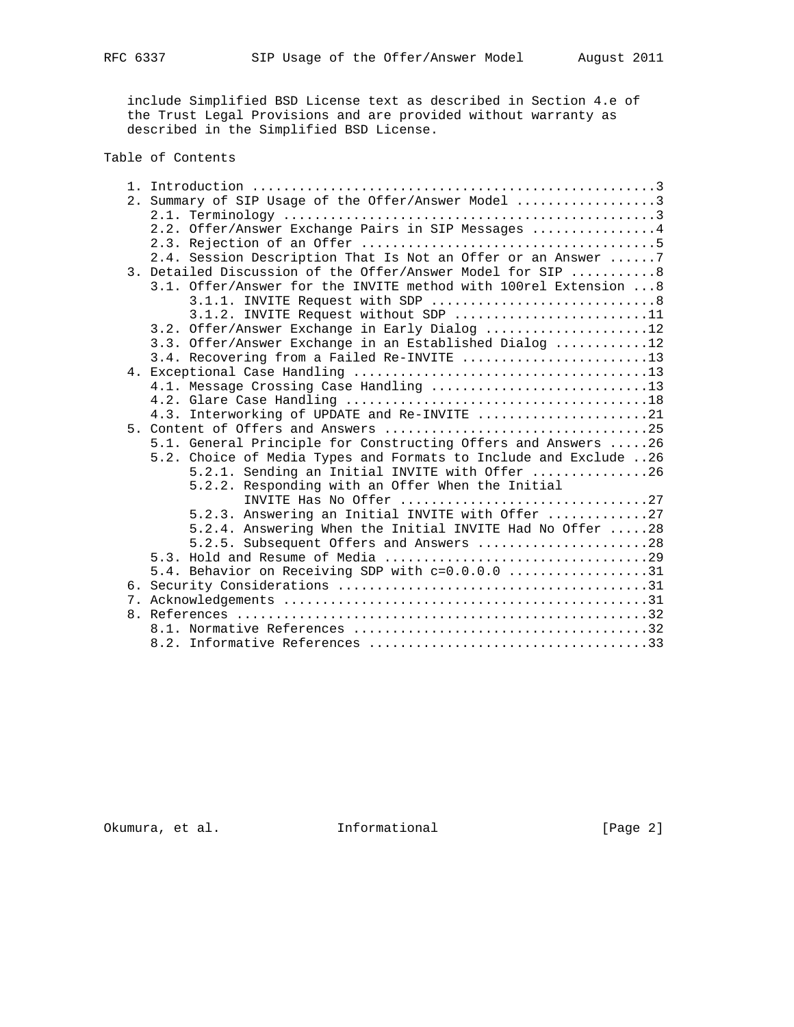include Simplified BSD License text as described in Section 4.e of the Trust Legal Provisions and are provided without warranty as described in the Simplified BSD License.

# Table of Contents

|  | 2. Summary of SIP Usage of the Offer/Answer Model 3              |
|--|------------------------------------------------------------------|
|  |                                                                  |
|  | 2.2. Offer/Answer Exchange Pairs in SIP Messages 4               |
|  |                                                                  |
|  | 2.4. Session Description That Is Not an Offer or an Answer  7    |
|  | 3. Detailed Discussion of the Offer/Answer Model for SIP 8       |
|  | 3.1. Offer/Answer for the INVITE method with 100rel Extension  8 |
|  |                                                                  |
|  | 3.1.2. INVITE Request without SDP 11                             |
|  | 3.2. Offer/Answer Exchange in Early Dialog 12                    |
|  | 3.3. Offer/Answer Exchange in an Established Dialog 12           |
|  | 3.4. Recovering from a Failed Re-INVITE 13                       |
|  |                                                                  |
|  | 4.1. Message Crossing Case Handling 13                           |
|  |                                                                  |
|  | 4.3. Interworking of UPDATE and Re-INVITE 21                     |
|  |                                                                  |
|  | 5.1. General Principle for Constructing Offers and Answers 26    |
|  | 5.2. Choice of Media Types and Formats to Include and Exclude 26 |
|  | 5.2.1. Sending an Initial INVITE with Offer 26                   |
|  | 5.2.2. Responding with an Offer When the Initial                 |
|  | INVITE Has No Offer 27                                           |
|  | 5.2.3. Answering an Initial INVITE with Offer 27                 |
|  | 5.2.4. Answering When the Initial INVITE Had No Offer 28         |
|  | 5.2.5. Subsequent Offers and Answers 28                          |
|  |                                                                  |
|  | 5.4. Behavior on Receiving SDP with c=0.0.0.0 31                 |
|  |                                                                  |
|  |                                                                  |
|  |                                                                  |
|  |                                                                  |
|  |                                                                  |

Okumura, et al. 1nformational 1999 [Page 2]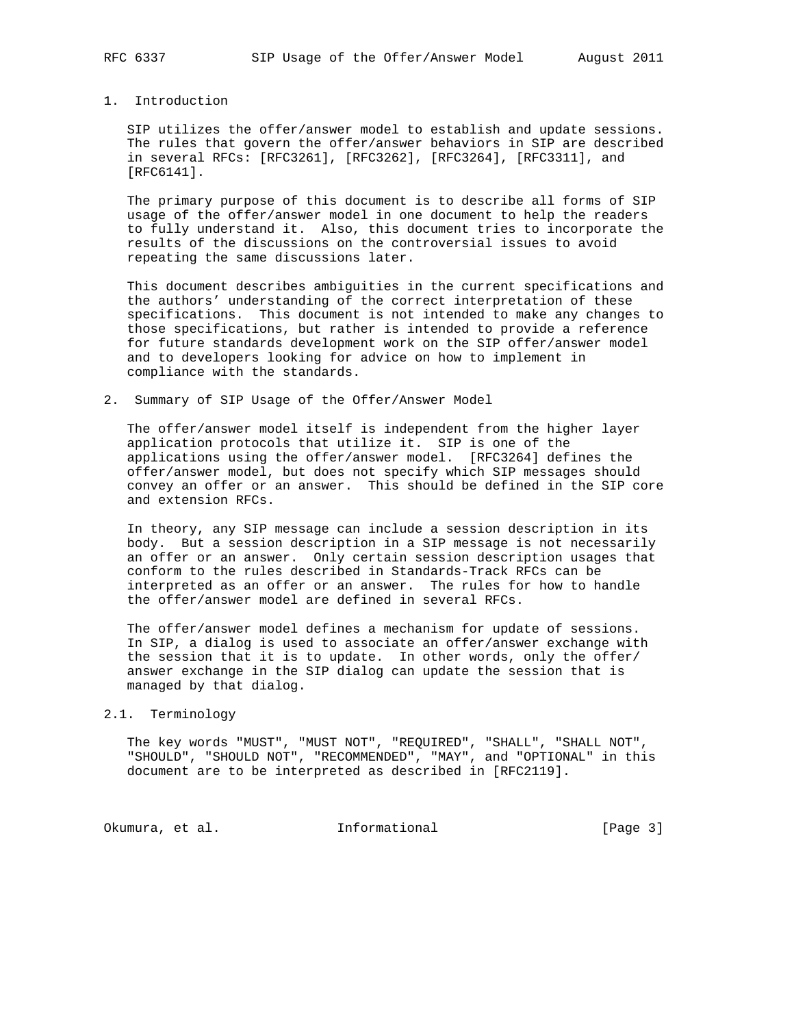# 1. Introduction

 SIP utilizes the offer/answer model to establish and update sessions. The rules that govern the offer/answer behaviors in SIP are described in several RFCs: [RFC3261], [RFC3262], [RFC3264], [RFC3311], and [RFC6141].

 The primary purpose of this document is to describe all forms of SIP usage of the offer/answer model in one document to help the readers to fully understand it. Also, this document tries to incorporate the results of the discussions on the controversial issues to avoid repeating the same discussions later.

 This document describes ambiguities in the current specifications and the authors' understanding of the correct interpretation of these specifications. This document is not intended to make any changes to those specifications, but rather is intended to provide a reference for future standards development work on the SIP offer/answer model and to developers looking for advice on how to implement in compliance with the standards.

2. Summary of SIP Usage of the Offer/Answer Model

 The offer/answer model itself is independent from the higher layer application protocols that utilize it. SIP is one of the applications using the offer/answer model. [RFC3264] defines the offer/answer model, but does not specify which SIP messages should convey an offer or an answer. This should be defined in the SIP core and extension RFCs.

 In theory, any SIP message can include a session description in its body. But a session description in a SIP message is not necessarily an offer or an answer. Only certain session description usages that conform to the rules described in Standards-Track RFCs can be interpreted as an offer or an answer. The rules for how to handle the offer/answer model are defined in several RFCs.

 The offer/answer model defines a mechanism for update of sessions. In SIP, a dialog is used to associate an offer/answer exchange with the session that it is to update. In other words, only the offer/ answer exchange in the SIP dialog can update the session that is managed by that dialog.

#### 2.1. Terminology

 The key words "MUST", "MUST NOT", "REQUIRED", "SHALL", "SHALL NOT", "SHOULD", "SHOULD NOT", "RECOMMENDED", "MAY", and "OPTIONAL" in this document are to be interpreted as described in [RFC2119].

Okumura, et al. 1nformational 1999 [Page 3]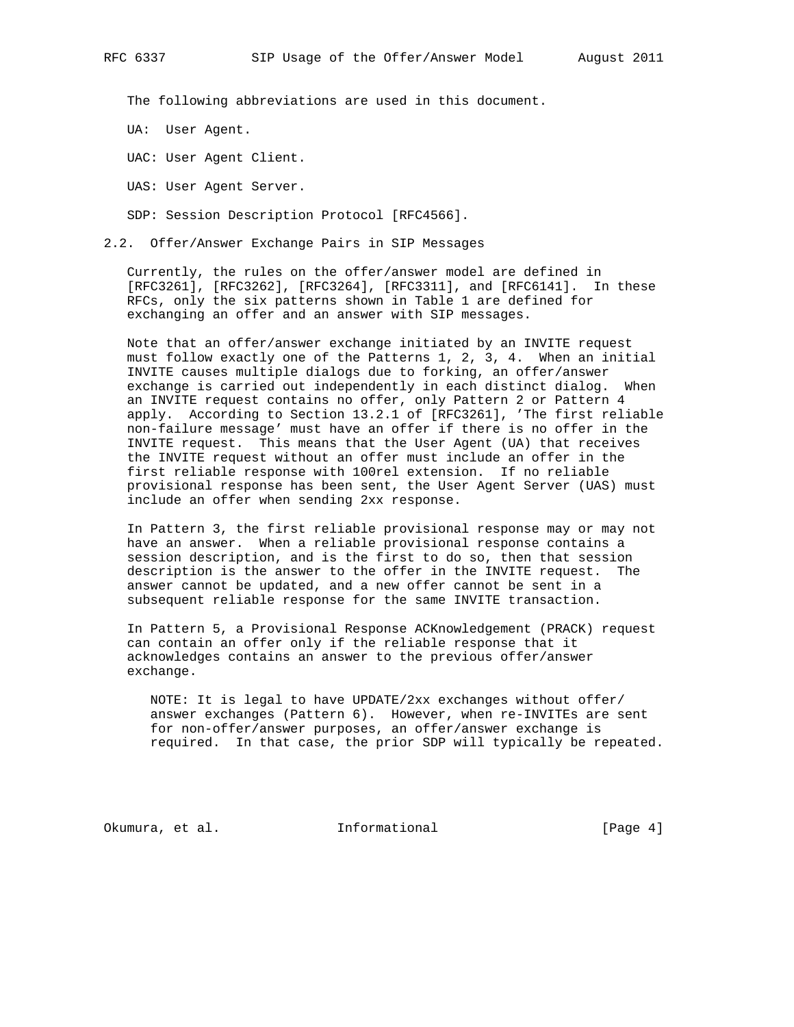The following abbreviations are used in this document.

UA: User Agent.

UAC: User Agent Client.

UAS: User Agent Server.

SDP: Session Description Protocol [RFC4566].

2.2. Offer/Answer Exchange Pairs in SIP Messages

 Currently, the rules on the offer/answer model are defined in [RFC3261], [RFC3262], [RFC3264], [RFC3311], and [RFC6141]. In these RFCs, only the six patterns shown in Table 1 are defined for exchanging an offer and an answer with SIP messages.

 Note that an offer/answer exchange initiated by an INVITE request must follow exactly one of the Patterns 1, 2, 3, 4. When an initial INVITE causes multiple dialogs due to forking, an offer/answer exchange is carried out independently in each distinct dialog. When an INVITE request contains no offer, only Pattern 2 or Pattern 4 apply. According to Section 13.2.1 of [RFC3261], 'The first reliable non-failure message' must have an offer if there is no offer in the INVITE request. This means that the User Agent (UA) that receives the INVITE request without an offer must include an offer in the first reliable response with 100rel extension. If no reliable provisional response has been sent, the User Agent Server (UAS) must include an offer when sending 2xx response.

 In Pattern 3, the first reliable provisional response may or may not have an answer. When a reliable provisional response contains a session description, and is the first to do so, then that session description is the answer to the offer in the INVITE request. The answer cannot be updated, and a new offer cannot be sent in a subsequent reliable response for the same INVITE transaction.

 In Pattern 5, a Provisional Response ACKnowledgement (PRACK) request can contain an offer only if the reliable response that it acknowledges contains an answer to the previous offer/answer exchange.

 NOTE: It is legal to have UPDATE/2xx exchanges without offer/ answer exchanges (Pattern 6). However, when re-INVITEs are sent for non-offer/answer purposes, an offer/answer exchange is required. In that case, the prior SDP will typically be repeated.

Okumura, et al. Informational [Page 4]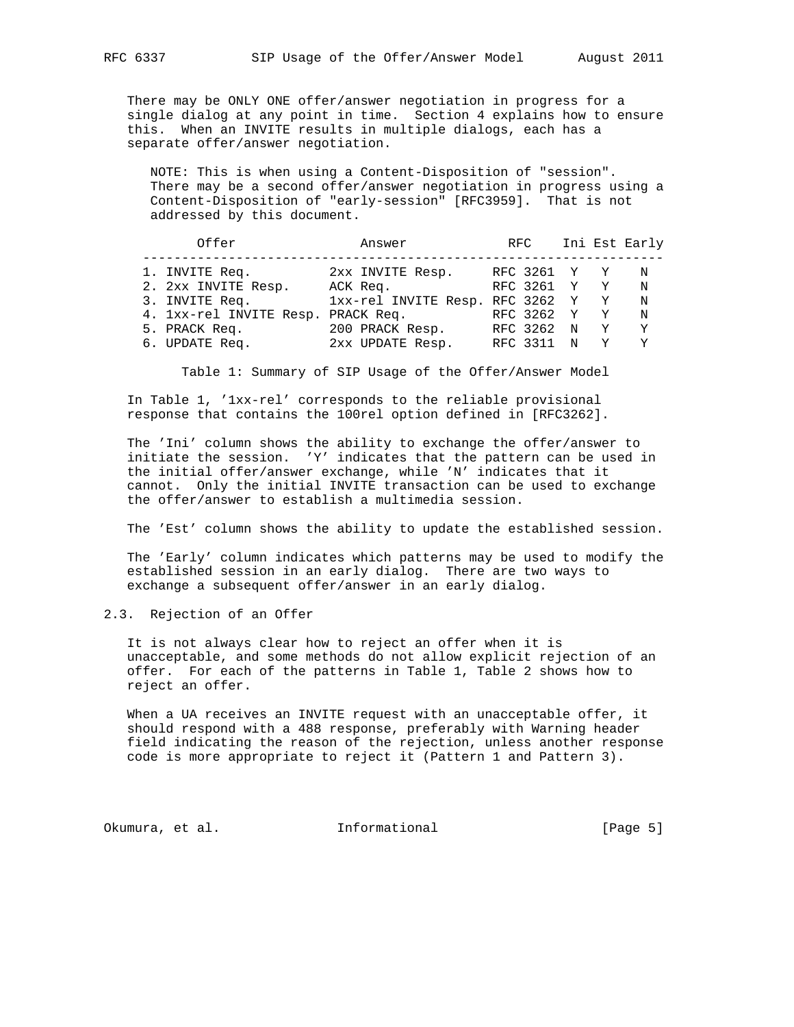There may be ONLY ONE offer/answer negotiation in progress for a single dialog at any point in time. Section 4 explains how to ensure this. When an INVITE results in multiple dialogs, each has a separate offer/answer negotiation.

 NOTE: This is when using a Content-Disposition of "session". There may be a second offer/answer negotiation in progress using a Content-Disposition of "early-session" [RFC3959]. That is not addressed by this document.

| Offer                              | Answer                          | RFC        |   |              | Ini Est Early |
|------------------------------------|---------------------------------|------------|---|--------------|---------------|
| 1. INVITE Req.                     | 2xx INVITE Resp.                | RFC 3261 Y |   | $\mathbf{Y}$ | N             |
| 2. 2xx INVITE Resp.                | ACK Req.                        | RFC 3261 Y |   | Y            | N             |
| 3. INVITE Req.                     | 1xx-rel INVITE Resp. RFC 3262 Y |            |   | Y            | N             |
| 4. 1xx-rel INVITE Resp. PRACK Req. |                                 | RFC 3262 Y |   | Y            | N             |
| 5. PRACK Req.                      | 200 PRACK Resp.                 | RFC 3262 N |   | Y            | Y.            |
| 6. UPDATE Req.                     | 2xx UPDATE Resp.                | RFC 3311   | N |              | Y             |

Table 1: Summary of SIP Usage of the Offer/Answer Model

 In Table 1, '1xx-rel' corresponds to the reliable provisional response that contains the 100rel option defined in [RFC3262].

 The 'Ini' column shows the ability to exchange the offer/answer to initiate the session. 'Y' indicates that the pattern can be used in the initial offer/answer exchange, while 'N' indicates that it cannot. Only the initial INVITE transaction can be used to exchange the offer/answer to establish a multimedia session.

The 'Est' column shows the ability to update the established session.

 The 'Early' column indicates which patterns may be used to modify the established session in an early dialog. There are two ways to exchange a subsequent offer/answer in an early dialog.

2.3. Rejection of an Offer

 It is not always clear how to reject an offer when it is unacceptable, and some methods do not allow explicit rejection of an offer. For each of the patterns in Table 1, Table 2 shows how to reject an offer.

 When a UA receives an INVITE request with an unacceptable offer, it should respond with a 488 response, preferably with Warning header field indicating the reason of the rejection, unless another response code is more appropriate to reject it (Pattern 1 and Pattern 3).

Okumura, et al. Informational [Page 5]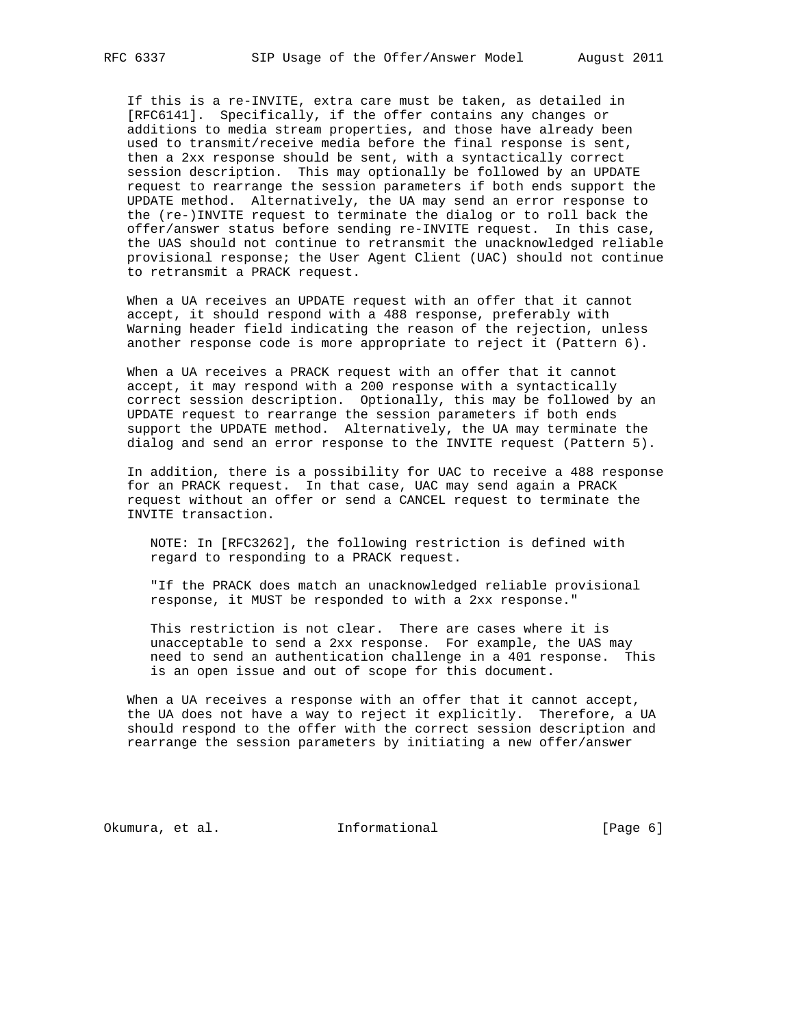If this is a re-INVITE, extra care must be taken, as detailed in [RFC6141]. Specifically, if the offer contains any changes or additions to media stream properties, and those have already been used to transmit/receive media before the final response is sent, then a 2xx response should be sent, with a syntactically correct session description. This may optionally be followed by an UPDATE request to rearrange the session parameters if both ends support the UPDATE method. Alternatively, the UA may send an error response to the (re-)INVITE request to terminate the dialog or to roll back the offer/answer status before sending re-INVITE request. In this case, the UAS should not continue to retransmit the unacknowledged reliable provisional response; the User Agent Client (UAC) should not continue to retransmit a PRACK request.

 When a UA receives an UPDATE request with an offer that it cannot accept, it should respond with a 488 response, preferably with Warning header field indicating the reason of the rejection, unless another response code is more appropriate to reject it (Pattern 6).

 When a UA receives a PRACK request with an offer that it cannot accept, it may respond with a 200 response with a syntactically correct session description. Optionally, this may be followed by an UPDATE request to rearrange the session parameters if both ends support the UPDATE method. Alternatively, the UA may terminate the dialog and send an error response to the INVITE request (Pattern 5).

 In addition, there is a possibility for UAC to receive a 488 response for an PRACK request. In that case, UAC may send again a PRACK request without an offer or send a CANCEL request to terminate the INVITE transaction.

 NOTE: In [RFC3262], the following restriction is defined with regard to responding to a PRACK request.

 "If the PRACK does match an unacknowledged reliable provisional response, it MUST be responded to with a 2xx response."

 This restriction is not clear. There are cases where it is unacceptable to send a 2xx response. For example, the UAS may need to send an authentication challenge in a 401 response. This is an open issue and out of scope for this document.

 When a UA receives a response with an offer that it cannot accept, the UA does not have a way to reject it explicitly. Therefore, a UA should respond to the offer with the correct session description and rearrange the session parameters by initiating a new offer/answer

Okumura, et al. 1nformational 1999 [Page 6]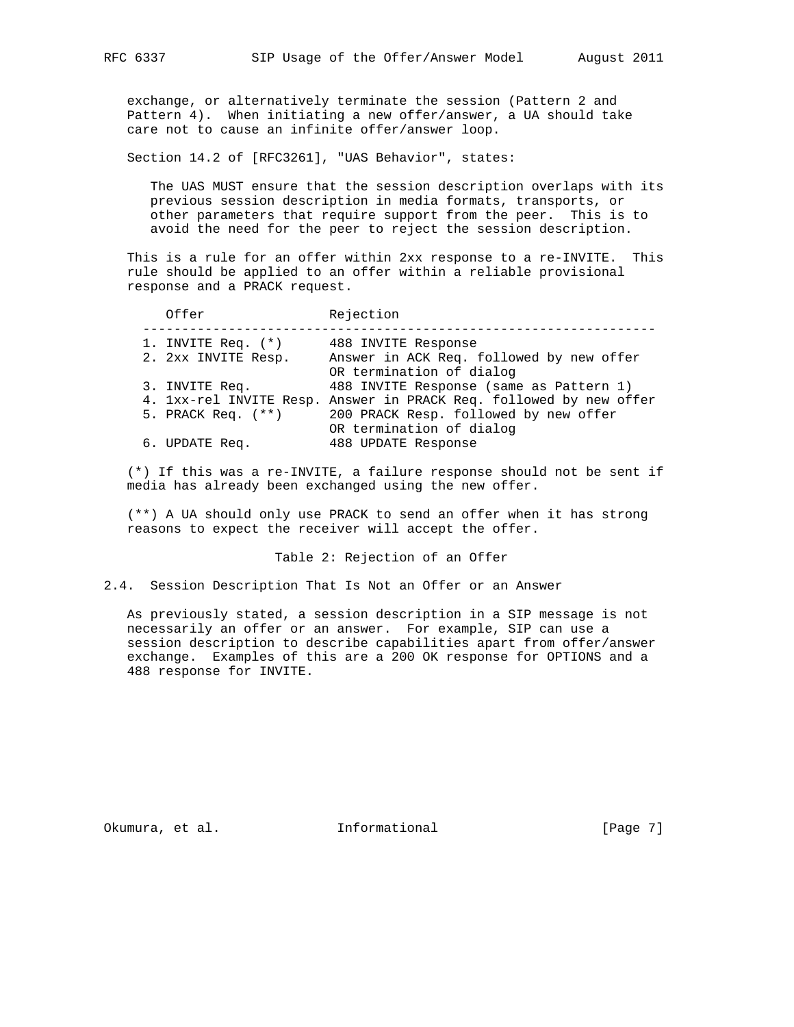exchange, or alternatively terminate the session (Pattern 2 and Pattern 4). When initiating a new offer/answer, a UA should take care not to cause an infinite offer/answer loop.

Section 14.2 of [RFC3261], "UAS Behavior", states:

 The UAS MUST ensure that the session description overlaps with its previous session description in media formats, transports, or other parameters that require support from the peer. This is to avoid the need for the peer to reject the session description.

 This is a rule for an offer within 2xx response to a re-INVITE. This rule should be applied to an offer within a reliable provisional response and a PRACK request.

|  | Offer                | Rejection                                                            |
|--|----------------------|----------------------------------------------------------------------|
|  | 1. INVITE Req. (*)   | 488 INVITE Response                                                  |
|  | 2. 2xx INVITE Resp.  | Answer in ACK Req. followed by new offer<br>OR termination of dialog |
|  | 3. INVITE Req.       | 488 INVITE Response (same as Pattern 1)                              |
|  |                      | 4. 1xx-rel INVITE Resp. Answer in PRACK Req. followed by new offer   |
|  | 5. PRACK Req. $(**)$ | 200 PRACK Resp. followed by new offer                                |
|  |                      | OR termination of dialog                                             |
|  | 6. UPDATE Req.       | 488 UPDATE Response                                                  |

 (\*) If this was a re-INVITE, a failure response should not be sent if media has already been exchanged using the new offer.

 (\*\*) A UA should only use PRACK to send an offer when it has strong reasons to expect the receiver will accept the offer.

Table 2: Rejection of an Offer

2.4. Session Description That Is Not an Offer or an Answer

 As previously stated, a session description in a SIP message is not necessarily an offer or an answer. For example, SIP can use a session description to describe capabilities apart from offer/answer exchange. Examples of this are a 200 OK response for OPTIONS and a 488 response for INVITE.

Okumura, et al. 100 mm informational 100 mm informational [Page 7]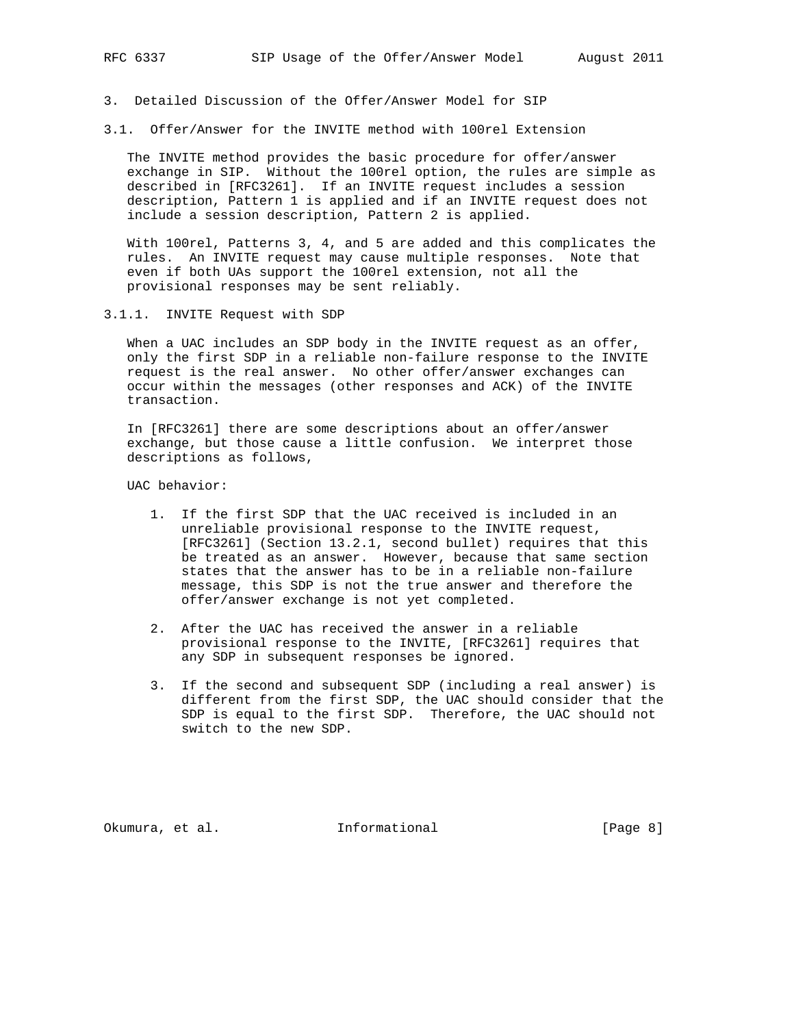- 3. Detailed Discussion of the Offer/Answer Model for SIP
- 3.1. Offer/Answer for the INVITE method with 100rel Extension

 The INVITE method provides the basic procedure for offer/answer exchange in SIP. Without the 100rel option, the rules are simple as described in [RFC3261]. If an INVITE request includes a session description, Pattern 1 is applied and if an INVITE request does not include a session description, Pattern 2 is applied.

 With 100rel, Patterns 3, 4, and 5 are added and this complicates the rules. An INVITE request may cause multiple responses. Note that even if both UAs support the 100rel extension, not all the provisional responses may be sent reliably.

3.1.1. INVITE Request with SDP

When a UAC includes an SDP body in the INVITE request as an offer, only the first SDP in a reliable non-failure response to the INVITE request is the real answer. No other offer/answer exchanges can occur within the messages (other responses and ACK) of the INVITE transaction.

 In [RFC3261] there are some descriptions about an offer/answer exchange, but those cause a little confusion. We interpret those descriptions as follows,

UAC behavior:

- 1. If the first SDP that the UAC received is included in an unreliable provisional response to the INVITE request, [RFC3261] (Section 13.2.1, second bullet) requires that this be treated as an answer. However, because that same section states that the answer has to be in a reliable non-failure message, this SDP is not the true answer and therefore the offer/answer exchange is not yet completed.
- 2. After the UAC has received the answer in a reliable provisional response to the INVITE, [RFC3261] requires that any SDP in subsequent responses be ignored.
- 3. If the second and subsequent SDP (including a real answer) is different from the first SDP, the UAC should consider that the SDP is equal to the first SDP. Therefore, the UAC should not switch to the new SDP.

Okumura, et al. 1nformational 1999 [Page 8]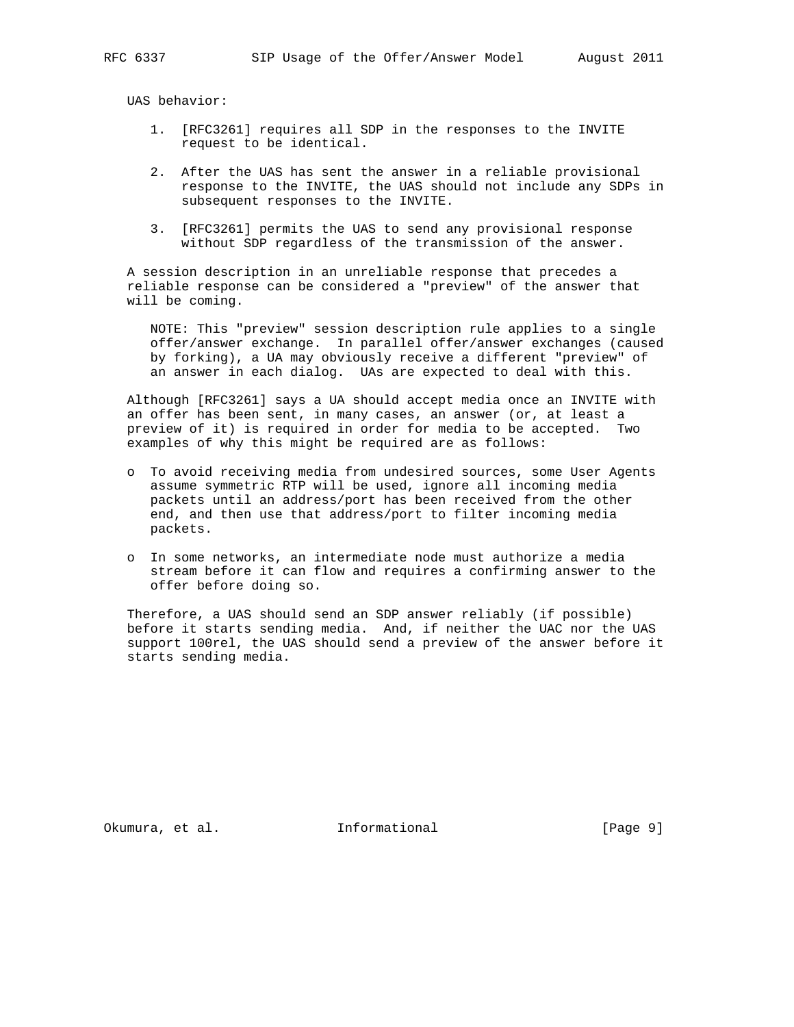UAS behavior:

- 1. [RFC3261] requires all SDP in the responses to the INVITE request to be identical.
- 2. After the UAS has sent the answer in a reliable provisional response to the INVITE, the UAS should not include any SDPs in subsequent responses to the INVITE.
- 3. [RFC3261] permits the UAS to send any provisional response without SDP regardless of the transmission of the answer.

 A session description in an unreliable response that precedes a reliable response can be considered a "preview" of the answer that will be coming.

 NOTE: This "preview" session description rule applies to a single offer/answer exchange. In parallel offer/answer exchanges (caused by forking), a UA may obviously receive a different "preview" of an answer in each dialog. UAs are expected to deal with this.

 Although [RFC3261] says a UA should accept media once an INVITE with an offer has been sent, in many cases, an answer (or, at least a preview of it) is required in order for media to be accepted. Two examples of why this might be required are as follows:

- o To avoid receiving media from undesired sources, some User Agents assume symmetric RTP will be used, ignore all incoming media packets until an address/port has been received from the other end, and then use that address/port to filter incoming media packets.
- o In some networks, an intermediate node must authorize a media stream before it can flow and requires a confirming answer to the offer before doing so.

 Therefore, a UAS should send an SDP answer reliably (if possible) before it starts sending media. And, if neither the UAC nor the UAS support 100rel, the UAS should send a preview of the answer before it starts sending media.

Okumura, et al. 1nformational 1999 [Page 9]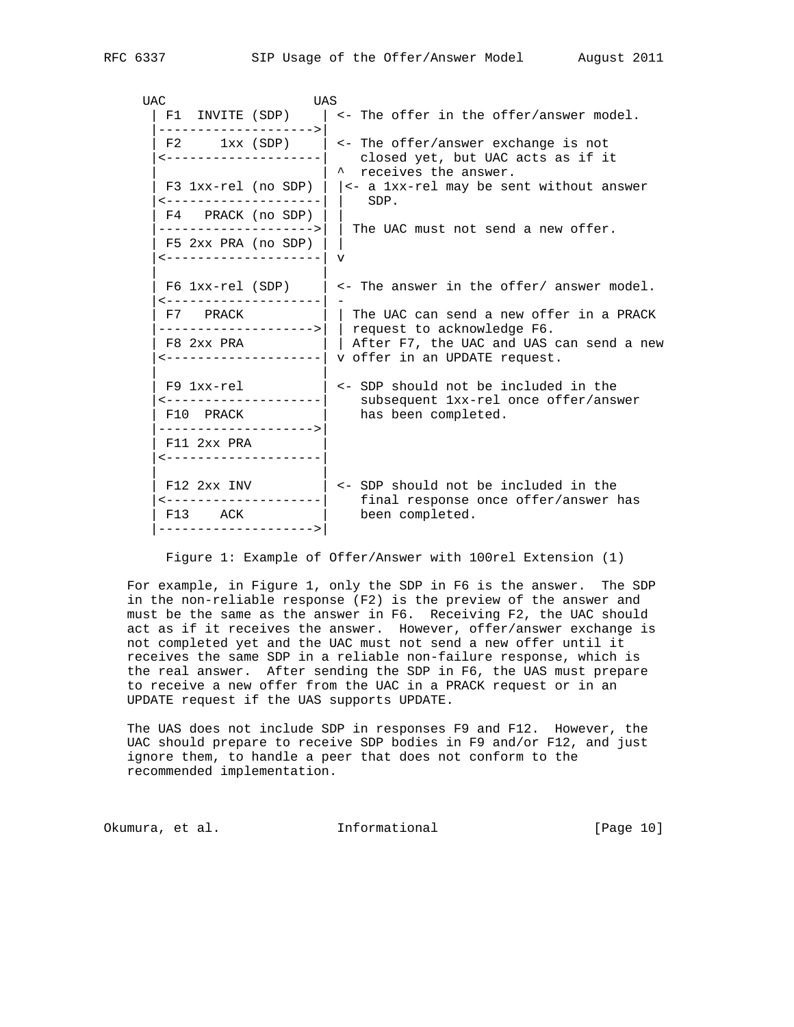| UAC |             | UAS                                             |                                                                                                                                                          |
|-----|-------------|-------------------------------------------------|----------------------------------------------------------------------------------------------------------------------------------------------------------|
|     |             | F1 INVITE (SDP)<br>--------------------->       | <- The offer in the offer/answer model.                                                                                                                  |
|     |             | ----------------------                          | F2 $1xx$ (SDP) $\vert$ <- The offer/answer exchange is not<br>closed yet, but UAC acts as if it<br>* receives the answer.                                |
|     |             | <---------------------                          | F3 1xx-rel (no SDP) $  \cdot  $ <- a 1xx-rel may be sent without answer<br>SDP.                                                                          |
|     |             | F4 PRACK (no SDP)                               | ------------------->    The UAC must not send a new offer.                                                                                               |
|     |             | F5 2xx PRA (no SDP)<br><--------------------  v |                                                                                                                                                          |
|     |             | ---------------------                           | F6 $1xx$ -rel (SDP)   <- The answer in the offer/ answer model.                                                                                          |
|     | F7 PRACK    |                                                 | The UAC can send a new offer in a PRACK                                                                                                                  |
|     | F8 2xx PRA  |                                                 | ------------------->    request to acknowledge F6.<br>  After F7, the UAC and UAS can send a new<br><--------------------  v offer in an UPDATE request. |
|     | F9 1xx-rel  | ---------------------                           | <- SDP should not be included in the                                                                                                                     |
|     | F10 PRACK   |                                                 | subsequent 1xx-rel once offer/answer<br>has been completed.                                                                                              |
|     | F11 2xx PRA | --------------------><br><--------------------- |                                                                                                                                                          |
|     |             | F12 2xx INV<br>---------------------            | <- SDP should not be included in the                                                                                                                     |
|     | F13 ACK     | --------------------->                          | final response once offer/answer has<br>been completed.                                                                                                  |
|     |             |                                                 |                                                                                                                                                          |

Figure 1: Example of Offer/Answer with 100rel Extension (1)

 For example, in Figure 1, only the SDP in F6 is the answer. The SDP in the non-reliable response (F2) is the preview of the answer and must be the same as the answer in F6. Receiving F2, the UAC should act as if it receives the answer. However, offer/answer exchange is not completed yet and the UAC must not send a new offer until it receives the same SDP in a reliable non-failure response, which is the real answer. After sending the SDP in F6, the UAS must prepare to receive a new offer from the UAC in a PRACK request or in an UPDATE request if the UAS supports UPDATE.

 The UAS does not include SDP in responses F9 and F12. However, the UAC should prepare to receive SDP bodies in F9 and/or F12, and just ignore them, to handle a peer that does not conform to the recommended implementation.

Okumura, et al. Informational [Page 10]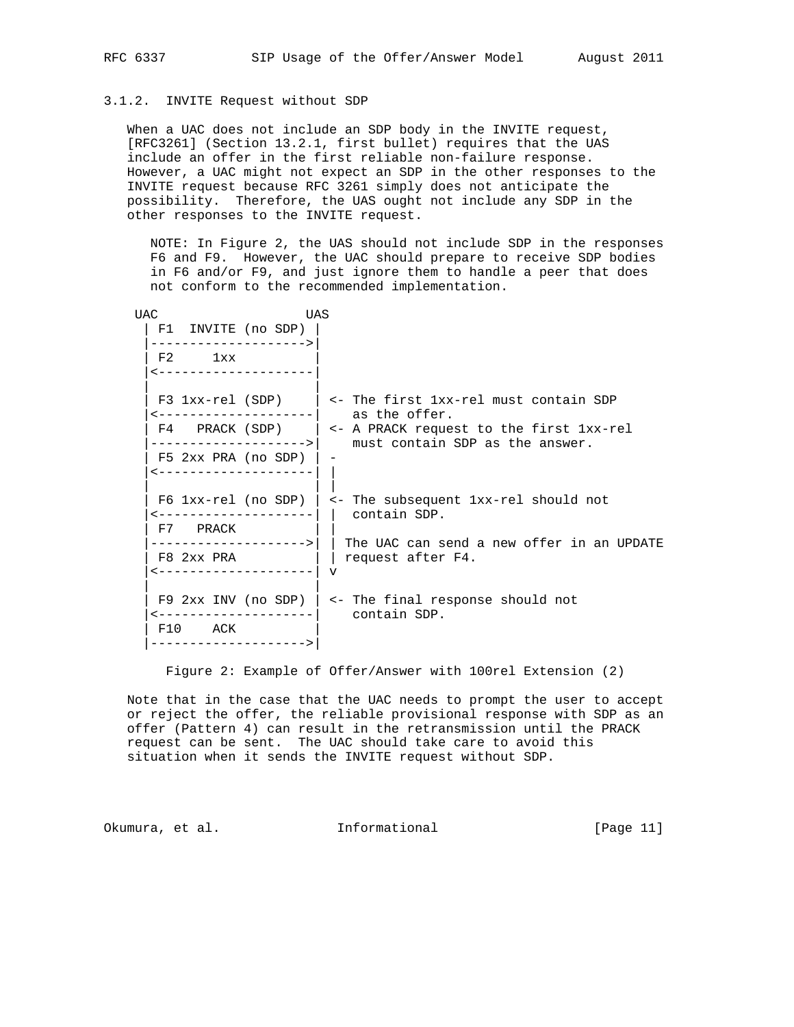# 3.1.2. INVITE Request without SDP

 When a UAC does not include an SDP body in the INVITE request, [RFC3261] (Section 13.2.1, first bullet) requires that the UAS include an offer in the first reliable non-failure response. However, a UAC might not expect an SDP in the other responses to the INVITE request because RFC 3261 simply does not anticipate the possibility. Therefore, the UAS ought not include any SDP in the other responses to the INVITE request.

 NOTE: In Figure 2, the UAS should not include SDP in the responses F6 and F9. However, the UAC should prepare to receive SDP bodies in F6 and/or F9, and just ignore them to handle a peer that does not conform to the recommended implementation.

| <b>UAC</b>                                    | UAS |                                                                                                            |
|-----------------------------------------------|-----|------------------------------------------------------------------------------------------------------------|
| F1 INVITE (no SDP)<br>------------------->    |     |                                                                                                            |
| $F2$ 1xx<br><--------------------             |     |                                                                                                            |
|                                               |     | F3 1xx-rel (SDP) $\vert$ <- The first 1xx-rel must contain SDP<br><--------------------     as the offer.  |
|                                               |     | F4 PRACK (SDP) $  \leq -$ A PRACK request to the first $1xx-\text{rel}$<br>must contain SDP as the answer. |
| $F5$ 2xx PRA (no SDP)<br>-------------------- |     |                                                                                                            |
| ---------------------<br>F7 PRACK             |     | F6 $1xx$ -rel (no SDP)   <- The subsequent $1xx$ -rel should not<br>contain SDP.                           |
| F8 2xx PRA<br>v   _________________________   |     | request after F4.                                                                                          |
| F10 ACK<br>------------------->               |     | F9 2xx INV (no SDP) $\vert$ <- The final response should not<br>contain SDP.                               |

Figure 2: Example of Offer/Answer with 100rel Extension (2)

 Note that in the case that the UAC needs to prompt the user to accept or reject the offer, the reliable provisional response with SDP as an offer (Pattern 4) can result in the retransmission until the PRACK request can be sent. The UAC should take care to avoid this situation when it sends the INVITE request without SDP.

Okumura, et al. Informational [Page 11]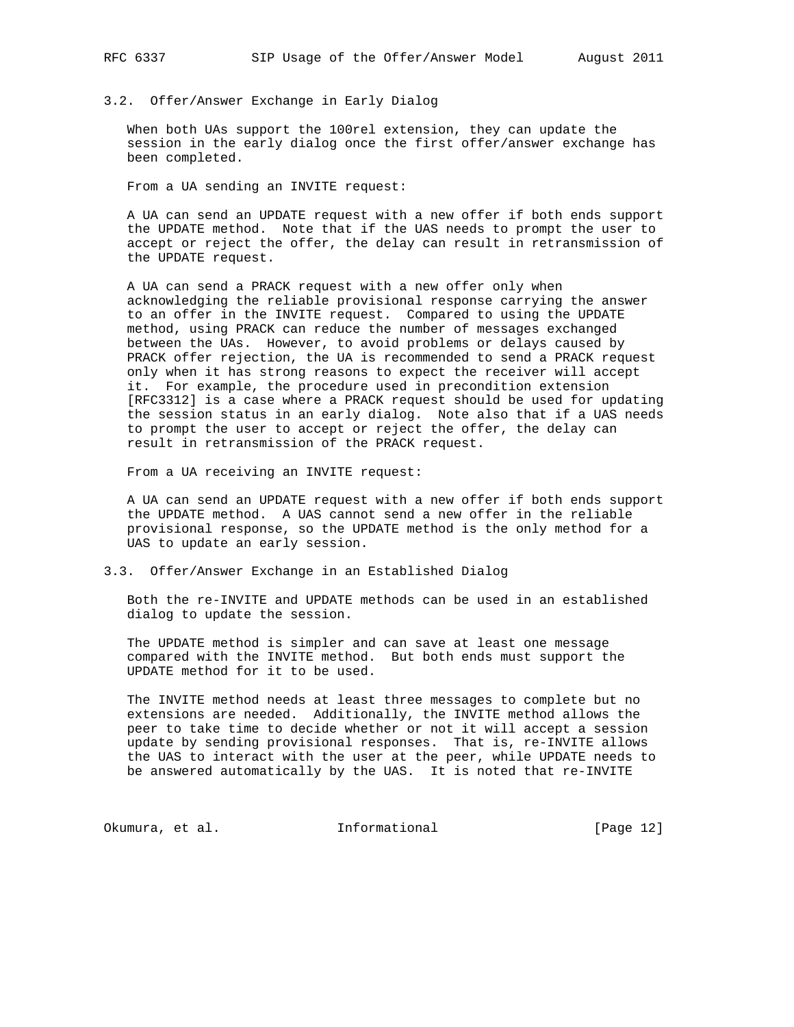## 3.2. Offer/Answer Exchange in Early Dialog

 When both UAs support the 100rel extension, they can update the session in the early dialog once the first offer/answer exchange has been completed.

From a UA sending an INVITE request:

 A UA can send an UPDATE request with a new offer if both ends support the UPDATE method. Note that if the UAS needs to prompt the user to accept or reject the offer, the delay can result in retransmission of the UPDATE request.

 A UA can send a PRACK request with a new offer only when acknowledging the reliable provisional response carrying the answer to an offer in the INVITE request. Compared to using the UPDATE method, using PRACK can reduce the number of messages exchanged between the UAs. However, to avoid problems or delays caused by PRACK offer rejection, the UA is recommended to send a PRACK request only when it has strong reasons to expect the receiver will accept it. For example, the procedure used in precondition extension [RFC3312] is a case where a PRACK request should be used for updating the session status in an early dialog. Note also that if a UAS needs to prompt the user to accept or reject the offer, the delay can result in retransmission of the PRACK request.

From a UA receiving an INVITE request:

 A UA can send an UPDATE request with a new offer if both ends support the UPDATE method. A UAS cannot send a new offer in the reliable provisional response, so the UPDATE method is the only method for a UAS to update an early session.

## 3.3. Offer/Answer Exchange in an Established Dialog

 Both the re-INVITE and UPDATE methods can be used in an established dialog to update the session.

 The UPDATE method is simpler and can save at least one message compared with the INVITE method. But both ends must support the UPDATE method for it to be used.

 The INVITE method needs at least three messages to complete but no extensions are needed. Additionally, the INVITE method allows the peer to take time to decide whether or not it will accept a session update by sending provisional responses. That is, re-INVITE allows the UAS to interact with the user at the peer, while UPDATE needs to be answered automatically by the UAS. It is noted that re-INVITE

Okumura, et al. 10 Informational 1999 [Page 12]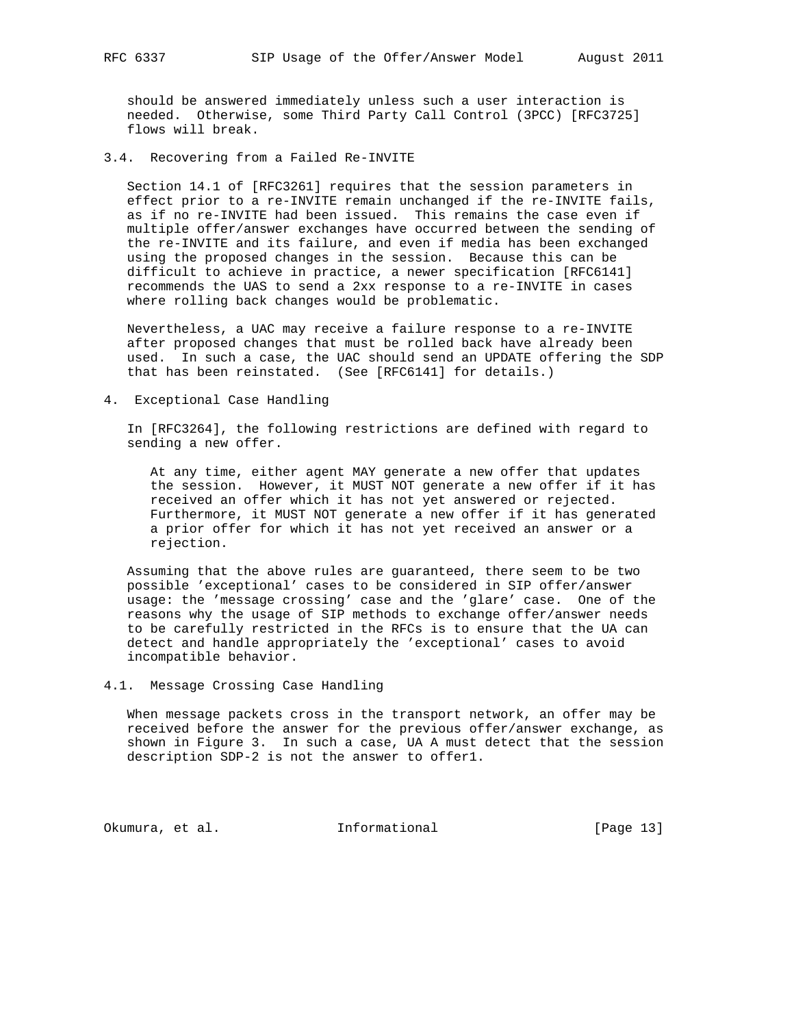should be answered immediately unless such a user interaction is needed. Otherwise, some Third Party Call Control (3PCC) [RFC3725] flows will break.

3.4. Recovering from a Failed Re-INVITE

 Section 14.1 of [RFC3261] requires that the session parameters in effect prior to a re-INVITE remain unchanged if the re-INVITE fails, as if no re-INVITE had been issued. This remains the case even if multiple offer/answer exchanges have occurred between the sending of the re-INVITE and its failure, and even if media has been exchanged using the proposed changes in the session. Because this can be difficult to achieve in practice, a newer specification [RFC6141] recommends the UAS to send a 2xx response to a re-INVITE in cases where rolling back changes would be problematic.

 Nevertheless, a UAC may receive a failure response to a re-INVITE after proposed changes that must be rolled back have already been used. In such a case, the UAC should send an UPDATE offering the SDP that has been reinstated. (See [RFC6141] for details.)

4. Exceptional Case Handling

 In [RFC3264], the following restrictions are defined with regard to sending a new offer.

 At any time, either agent MAY generate a new offer that updates the session. However, it MUST NOT generate a new offer if it has received an offer which it has not yet answered or rejected. Furthermore, it MUST NOT generate a new offer if it has generated a prior offer for which it has not yet received an answer or a rejection.

 Assuming that the above rules are guaranteed, there seem to be two possible 'exceptional' cases to be considered in SIP offer/answer usage: the 'message crossing' case and the 'glare' case. One of the reasons why the usage of SIP methods to exchange offer/answer needs to be carefully restricted in the RFCs is to ensure that the UA can detect and handle appropriately the 'exceptional' cases to avoid incompatible behavior.

4.1. Message Crossing Case Handling

 When message packets cross in the transport network, an offer may be received before the answer for the previous offer/answer exchange, as shown in Figure 3. In such a case, UA A must detect that the session description SDP-2 is not the answer to offer1.

Okumura, et al. 10 Informational [Page 13]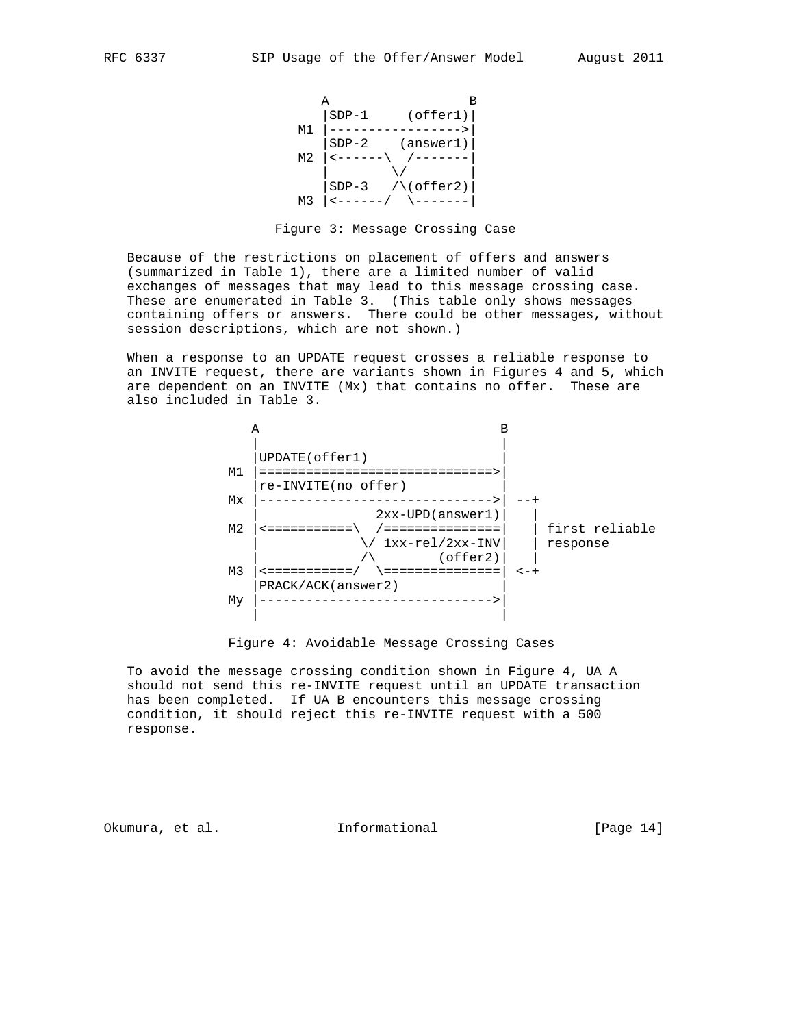



 Because of the restrictions on placement of offers and answers (summarized in Table 1), there are a limited number of valid exchanges of messages that may lead to this message crossing case. These are enumerated in Table 3. (This table only shows messages containing offers or answers. There could be other messages, without session descriptions, which are not shown.)

 When a response to an UPDATE request crosses a reliable response to an INVITE request, there are variants shown in Figures 4 and 5, which are dependent on an INVITE (Mx) that contains no offer. These are also included in Table 3.



Figure 4: Avoidable Message Crossing Cases

 To avoid the message crossing condition shown in Figure 4, UA A should not send this re-INVITE request until an UPDATE transaction has been completed. If UA B encounters this message crossing condition, it should reject this re-INVITE request with a 500 response.

Okumura, et al. 10 Informational 1999 [Page 14]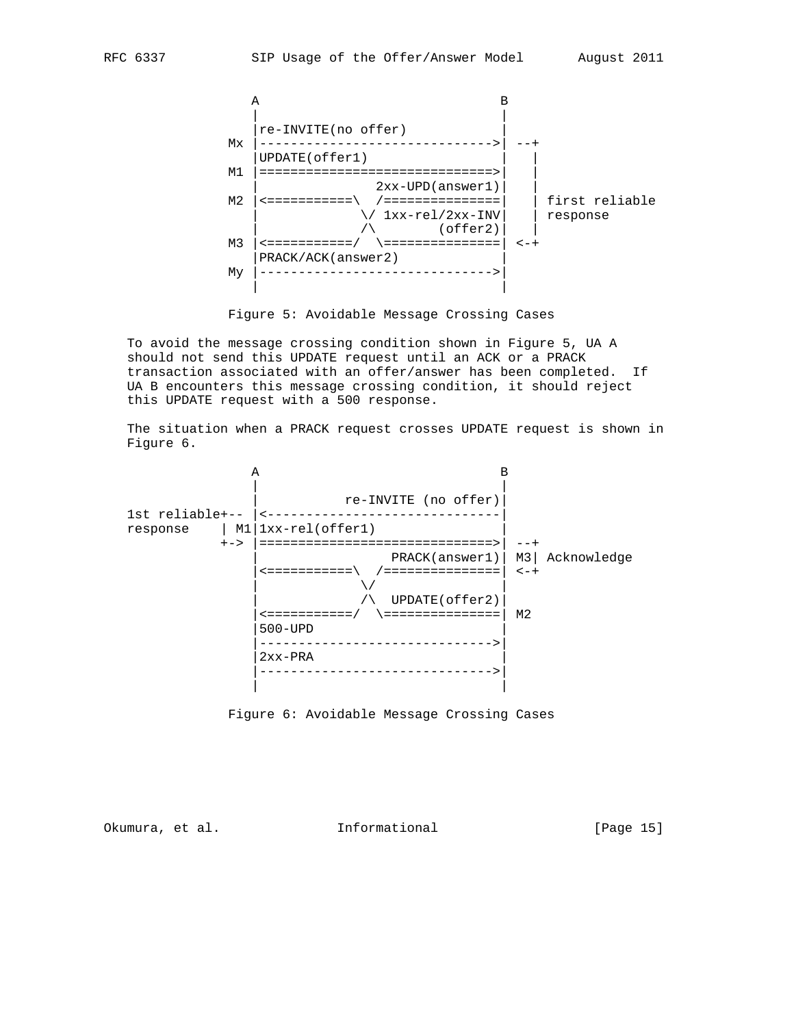



 To avoid the message crossing condition shown in Figure 5, UA A should not send this UPDATE request until an ACK or a PRACK transaction associated with an offer/answer has been completed. If UA B encounters this message crossing condition, it should reject this UPDATE request with a 500 response.

 The situation when a PRACK request crosses UPDATE request is shown in Figure 6.



Figure 6: Avoidable Message Crossing Cases

Okumura, et al. 10 Informational 1999 [Page 15]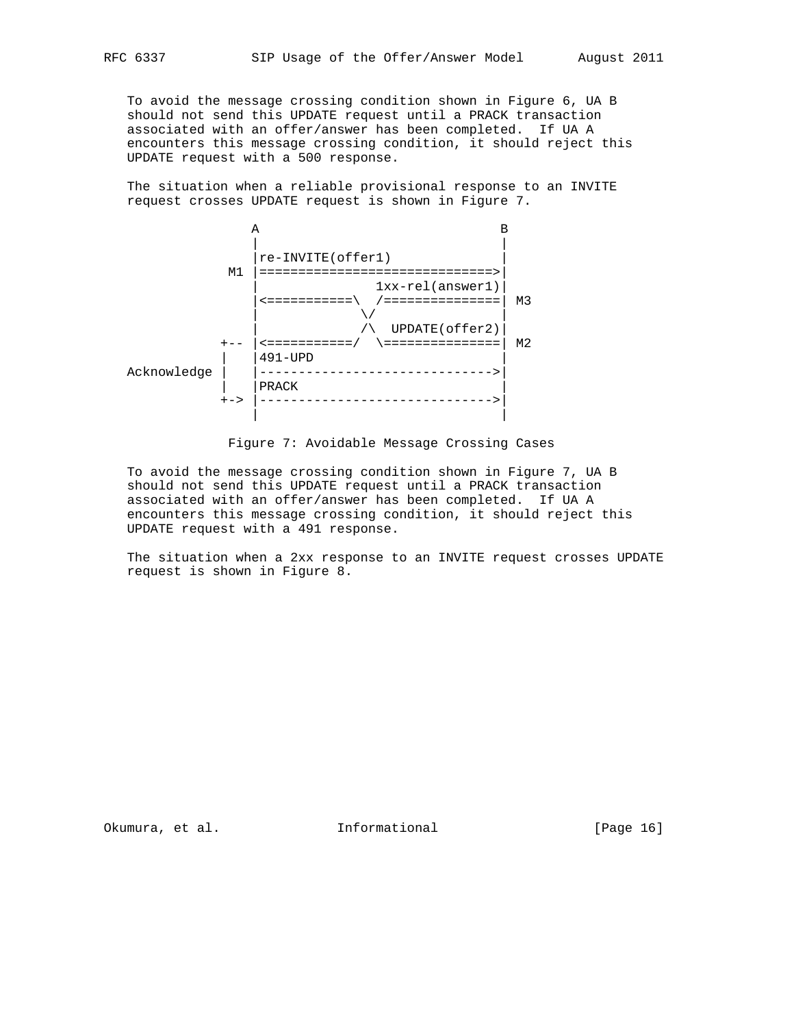To avoid the message crossing condition shown in Figure 6, UA B should not send this UPDATE request until a PRACK transaction associated with an offer/answer has been completed. If UA A encounters this message crossing condition, it should reject this UPDATE request with a 500 response.

 The situation when a reliable provisional response to an INVITE request crosses UPDATE request is shown in Figure 7.



Figure 7: Avoidable Message Crossing Cases

 To avoid the message crossing condition shown in Figure 7, UA B should not send this UPDATE request until a PRACK transaction associated with an offer/answer has been completed. If UA A encounters this message crossing condition, it should reject this UPDATE request with a 491 response.

 The situation when a 2xx response to an INVITE request crosses UPDATE request is shown in Figure 8.

Okumura, et al. 10 Informational 1999 [Page 16]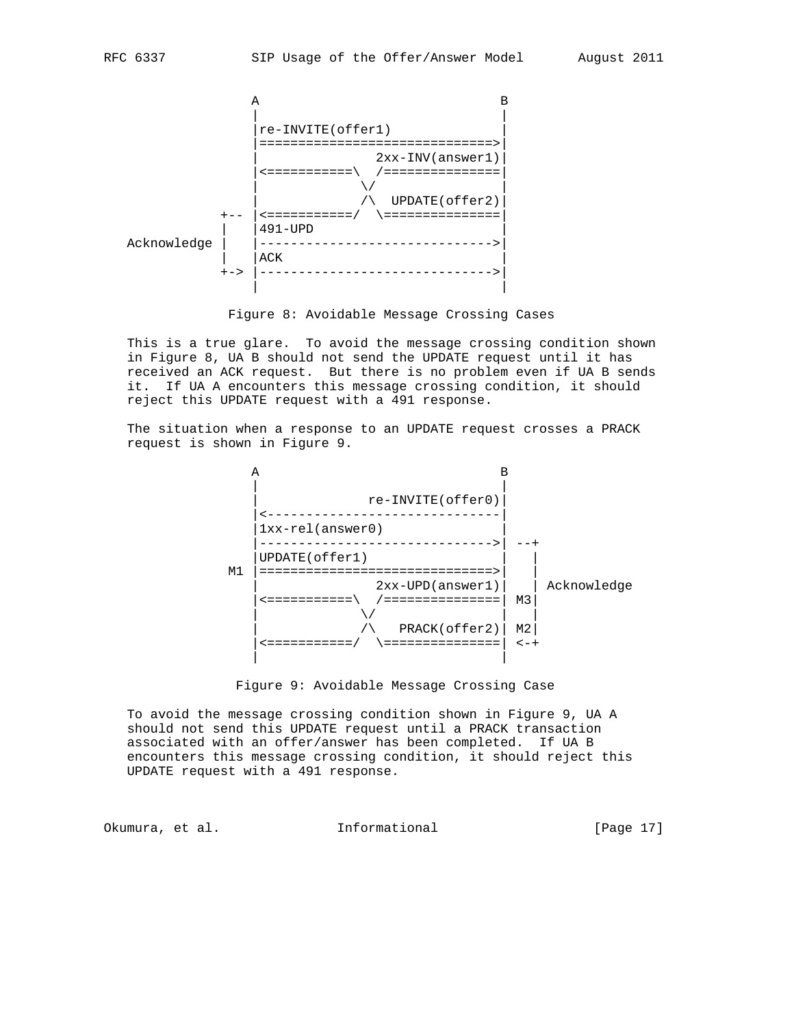

Figure 8: Avoidable Message Crossing Cases

 This is a true glare. To avoid the message crossing condition shown in Figure 8, UA B should not send the UPDATE request until it has received an ACK request. But there is no problem even if UA B sends it. If UA A encounters this message crossing condition, it should reject this UPDATE request with a 491 response.

 The situation when a response to an UPDATE request crosses a PRACK request is shown in Figure 9.





 To avoid the message crossing condition shown in Figure 9, UA A should not send this UPDATE request until a PRACK transaction associated with an offer/answer has been completed. If UA B encounters this message crossing condition, it should reject this UPDATE request with a 491 response.

Okumura, et al. Informational [Page 17]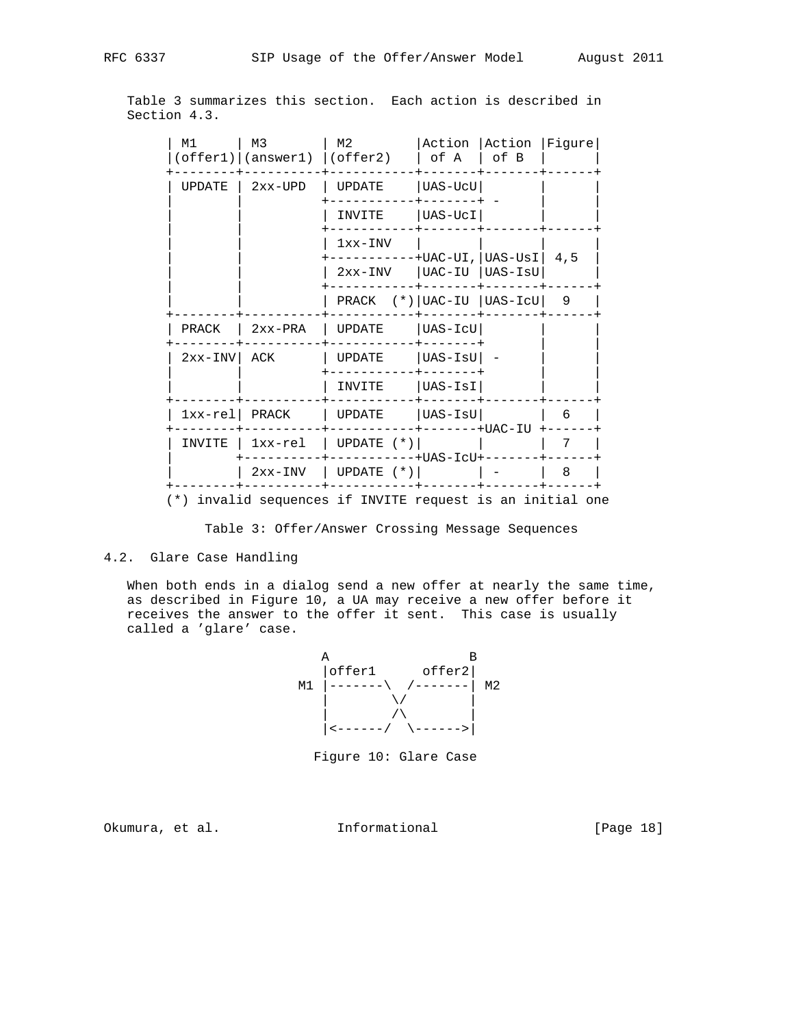Table 3 summarizes this section. Each action is described in Section 4.3.

| M1            | M <sub>3</sub><br>$(\text{offer1})   (\text{answer1})   (\text{offer2})$ | M2                                                        | Action<br>of A          | Action<br>of B | Figure |
|---------------|--------------------------------------------------------------------------|-----------------------------------------------------------|-------------------------|----------------|--------|
| <b>UPDATE</b> | $2xx$ -UPD                                                               | <b>UPDATE</b>                                             | $UAS-UCU$               |                |        |
|               |                                                                          | INVITE                                                    | $UAS-UcI$               |                |        |
|               |                                                                          | $1xx-INV$                                                 | $+UAC-UI$ , $ UAS-USI $ |                | 4,5    |
|               |                                                                          | $2xx-INV$                                                 | UAC-IU  UAS-IsU         |                |        |
|               |                                                                          | PRACK $(*)$   UAC-IU   UAS-ICU                            |                         |                | 9      |
| PRACK         | $2xx-PRA$                                                                | <b>UPDATE</b>                                             | UAS-IcU                 |                |        |
| $2xx-INV$     | ACK                                                                      | <b>UPDATE</b>                                             | UAS-IsU                 |                |        |
|               |                                                                          | INVITE                                                    | $UAS-ISI$               |                |        |
| $1xx-re1$     | PRACK                                                                    | <b>UPDATE</b>                                             | $UAS-ISU$               | -----+UAC-IU   | 6      |
| INVITE        | 1xx-rel                                                                  | UPDATE $(*)$                                              | $-+UAS-ICU+$            | ------         | 7      |
|               | 2xx-INV                                                                  | UPDATE $(*)$                                              |                         |                | 8      |
|               |                                                                          | (*) invalid sequences if INVITE request is an initial one |                         |                |        |

Table 3: Offer/Answer Crossing Message Sequences

### 4.2. Glare Case Handling

 When both ends in a dialog send a new offer at nearly the same time, as described in Figure 10, a UA may receive a new offer before it receives the answer to the offer it sent. This case is usually called a 'glare' case.



Figure 10: Glare Case

Okumura, et al. 10 Informational [Page 18]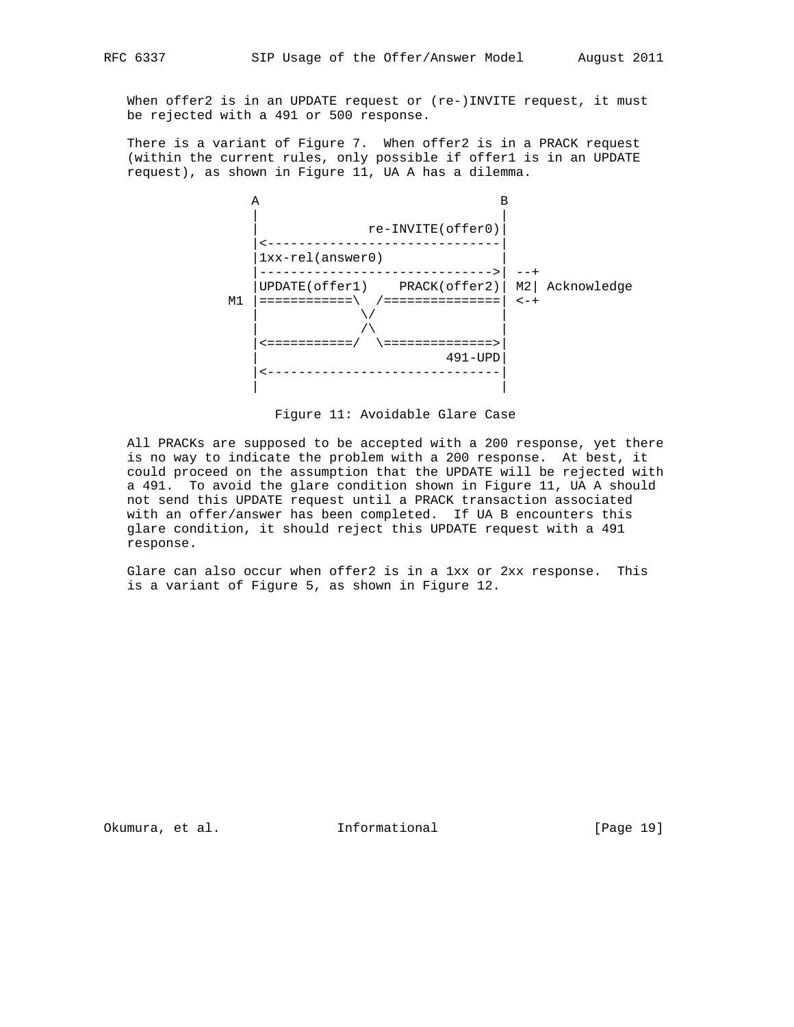When offer2 is in an UPDATE request or (re-)INVITE request, it must be rejected with a 491 or 500 response.

 There is a variant of Figure 7. When offer2 is in a PRACK request (within the current rules, only possible if offer1 is in an UPDATE request), as shown in Figure 11, UA A has a dilemma.



Figure 11: Avoidable Glare Case

 All PRACKs are supposed to be accepted with a 200 response, yet there is no way to indicate the problem with a 200 response. At best, it could proceed on the assumption that the UPDATE will be rejected with a 491. To avoid the glare condition shown in Figure 11, UA A should not send this UPDATE request until a PRACK transaction associated with an offer/answer has been completed. If UA B encounters this glare condition, it should reject this UPDATE request with a 491 response.

 Glare can also occur when offer2 is in a 1xx or 2xx response. This is a variant of Figure 5, as shown in Figure 12.

Okumura, et al. Informational [Page 19]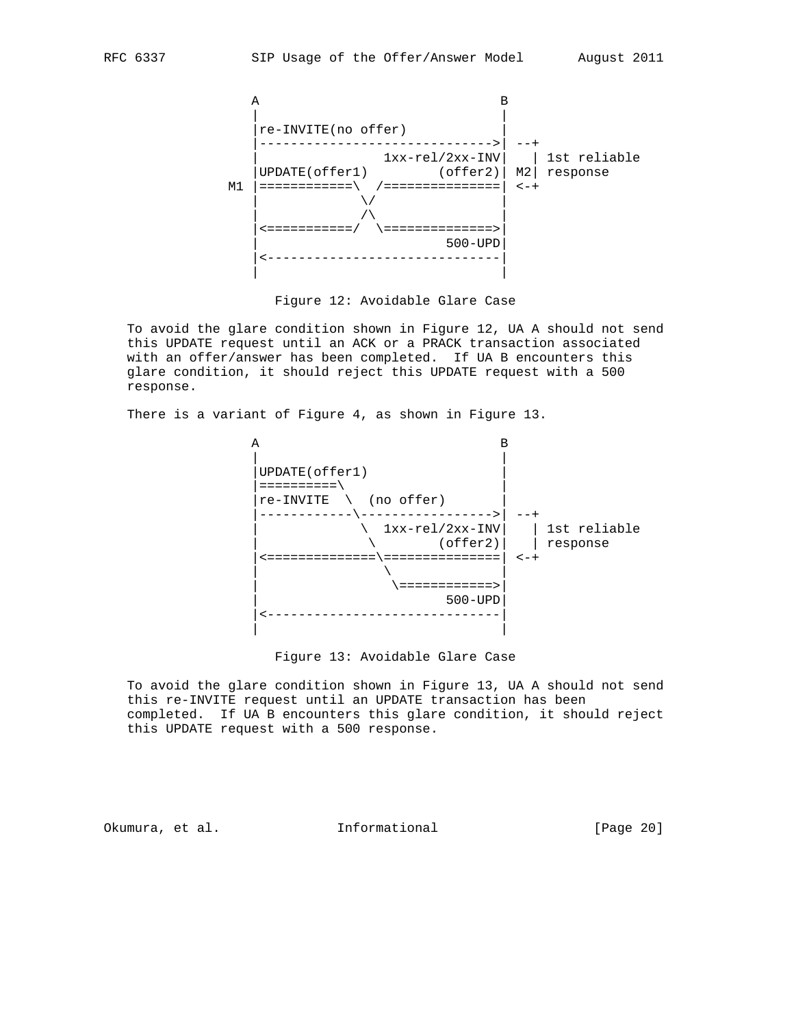

Figure 12: Avoidable Glare Case

 To avoid the glare condition shown in Figure 12, UA A should not send this UPDATE request until an ACK or a PRACK transaction associated with an offer/answer has been completed. If UA B encounters this glare condition, it should reject this UPDATE request with a 500 response.

There is a variant of Figure 4, as shown in Figure 13.



Figure 13: Avoidable Glare Case

 To avoid the glare condition shown in Figure 13, UA A should not send this re-INVITE request until an UPDATE transaction has been completed. If UA B encounters this glare condition, it should reject this UPDATE request with a 500 response.

Okumura, et al. 1nformational [Page 20]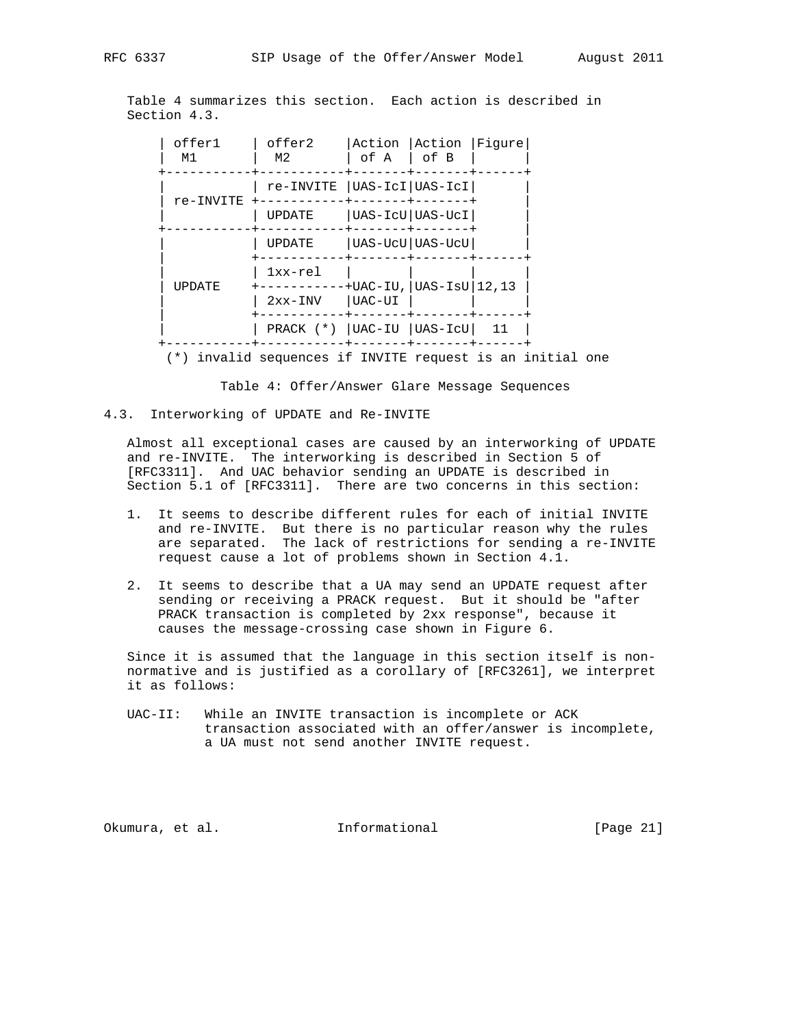Table 4 summarizes this section. Each action is described in Section 4.3.

| offer1<br>M1  | offer2<br>М2  | Action Action<br>Fiqure<br>$ $ of B<br>of A |
|---------------|---------------|---------------------------------------------|
| re-INVITE     |               | re-INVITE   UAS-ICI   UAS-ICI               |
|               | <b>UPDATE</b> | UAS-IcU UAS-UcI                             |
|               | <b>UPDATE</b> | UAS-UcU UAS-UcU                             |
| <b>UPDATE</b> | $1xx-re1$     | $+$ UAC-IU, UAS-IsU $ 12,13$                |
|               | $2xx-INV$     | UAC-UI                                      |
|               |               | PRACK (*)   UAC-IU   UAS-ICU  <br>11        |

(\*) invalid sequences if INVITE request is an initial one

Table 4: Offer/Answer Glare Message Sequences

4.3. Interworking of UPDATE and Re-INVITE

 Almost all exceptional cases are caused by an interworking of UPDATE and re-INVITE. The interworking is described in Section 5 of [RFC3311]. And UAC behavior sending an UPDATE is described in Section 5.1 of [RFC3311]. There are two concerns in this section:

- 1. It seems to describe different rules for each of initial INVITE and re-INVITE. But there is no particular reason why the rules are separated. The lack of restrictions for sending a re-INVITE request cause a lot of problems shown in Section 4.1.
- 2. It seems to describe that a UA may send an UPDATE request after sending or receiving a PRACK request. But it should be "after PRACK transaction is completed by 2xx response", because it causes the message-crossing case shown in Figure 6.

 Since it is assumed that the language in this section itself is non normative and is justified as a corollary of [RFC3261], we interpret it as follows:

 UAC-II: While an INVITE transaction is incomplete or ACK transaction associated with an offer/answer is incomplete, a UA must not send another INVITE request.

Okumura, et al. 1nformational [Page 21]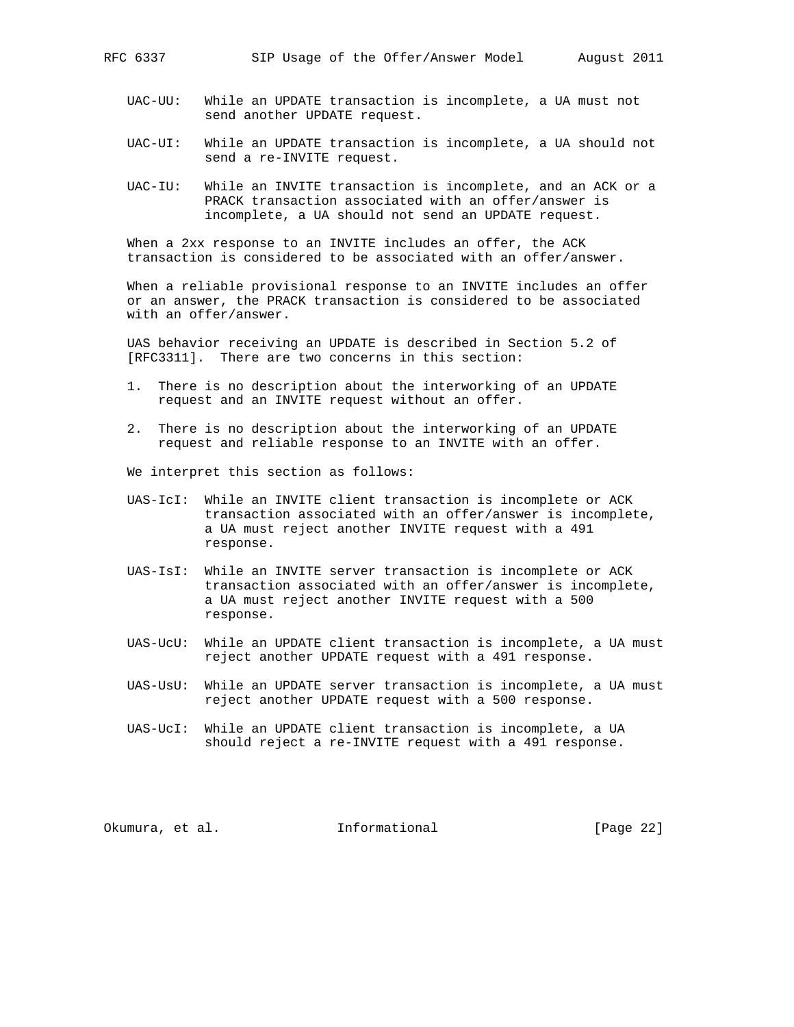- UAC-UU: While an UPDATE transaction is incomplete, a UA must not send another UPDATE request.
- UAC-UI: While an UPDATE transaction is incomplete, a UA should not send a re-INVITE request.
- UAC-IU: While an INVITE transaction is incomplete, and an ACK or a PRACK transaction associated with an offer/answer is incomplete, a UA should not send an UPDATE request.

 When a 2xx response to an INVITE includes an offer, the ACK transaction is considered to be associated with an offer/answer.

 When a reliable provisional response to an INVITE includes an offer or an answer, the PRACK transaction is considered to be associated with an offer/answer.

 UAS behavior receiving an UPDATE is described in Section 5.2 of [RFC3311]. There are two concerns in this section:

- 1. There is no description about the interworking of an UPDATE request and an INVITE request without an offer.
- 2. There is no description about the interworking of an UPDATE request and reliable response to an INVITE with an offer.

We interpret this section as follows:

- UAS-IcI: While an INVITE client transaction is incomplete or ACK transaction associated with an offer/answer is incomplete, a UA must reject another INVITE request with a 491 response.
- UAS-IsI: While an INVITE server transaction is incomplete or ACK transaction associated with an offer/answer is incomplete, a UA must reject another INVITE request with a 500 response.
- UAS-UcU: While an UPDATE client transaction is incomplete, a UA must reject another UPDATE request with a 491 response.
- UAS-UsU: While an UPDATE server transaction is incomplete, a UA must reject another UPDATE request with a 500 response.
- UAS-UcI: While an UPDATE client transaction is incomplete, a UA should reject a re-INVITE request with a 491 response.

Okumura, et al. 100 mm informational [Page 22]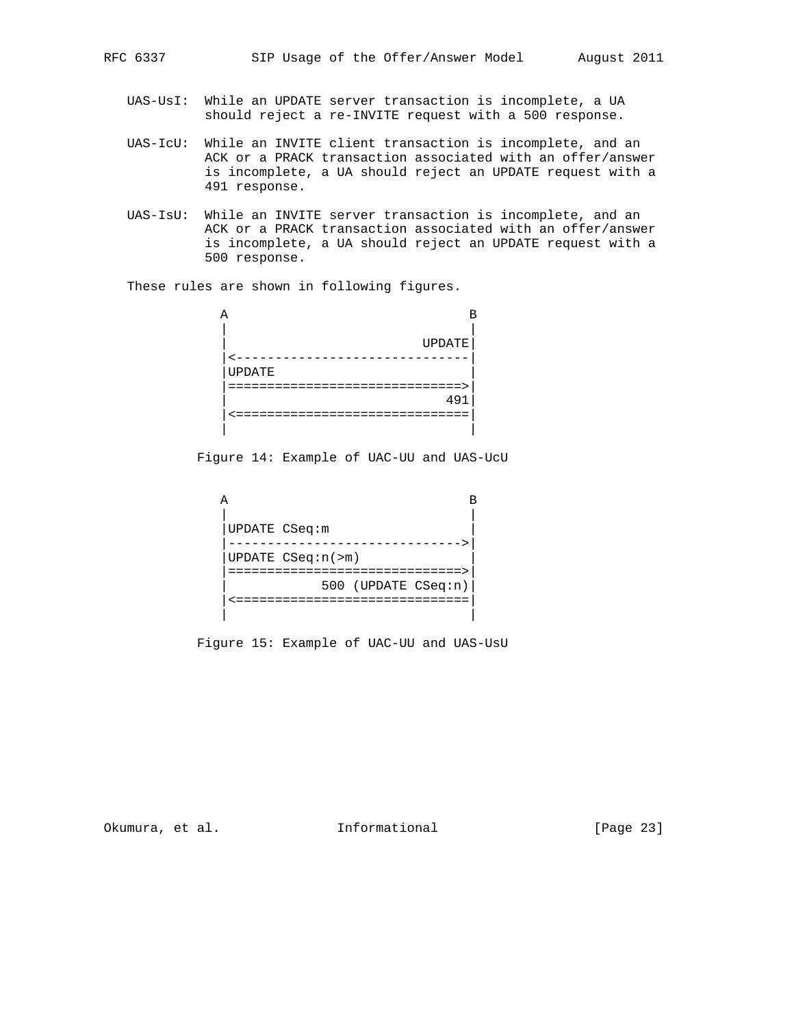- UAS-UsI: While an UPDATE server transaction is incomplete, a UA should reject a re-INVITE request with a 500 response.
- UAS-IcU: While an INVITE client transaction is incomplete, and an ACK or a PRACK transaction associated with an offer/answer is incomplete, a UA should reject an UPDATE request with a 491 response.
- UAS-IsU: While an INVITE server transaction is incomplete, and an ACK or a PRACK transaction associated with an offer/answer is incomplete, a UA should reject an UPDATE request with a 500 response.

These rules are shown in following figures.

| R             |  |
|---------------|--|
| <b>UPDATE</b> |  |
| UPDATE        |  |
|               |  |
| 49            |  |
|               |  |
|               |  |

Figure 14: Example of UAC-UU and UAS-UcU

| UPDATE CSeq:m           |  |
|-------------------------|--|
| UPDATE $CSeq:n(\geq m)$ |  |
| 500 (UPDATE CSeq:n)     |  |
|                         |  |

Figure 15: Example of UAC-UU and UAS-UsU

Okumura, et al. 1nformational [Page 23]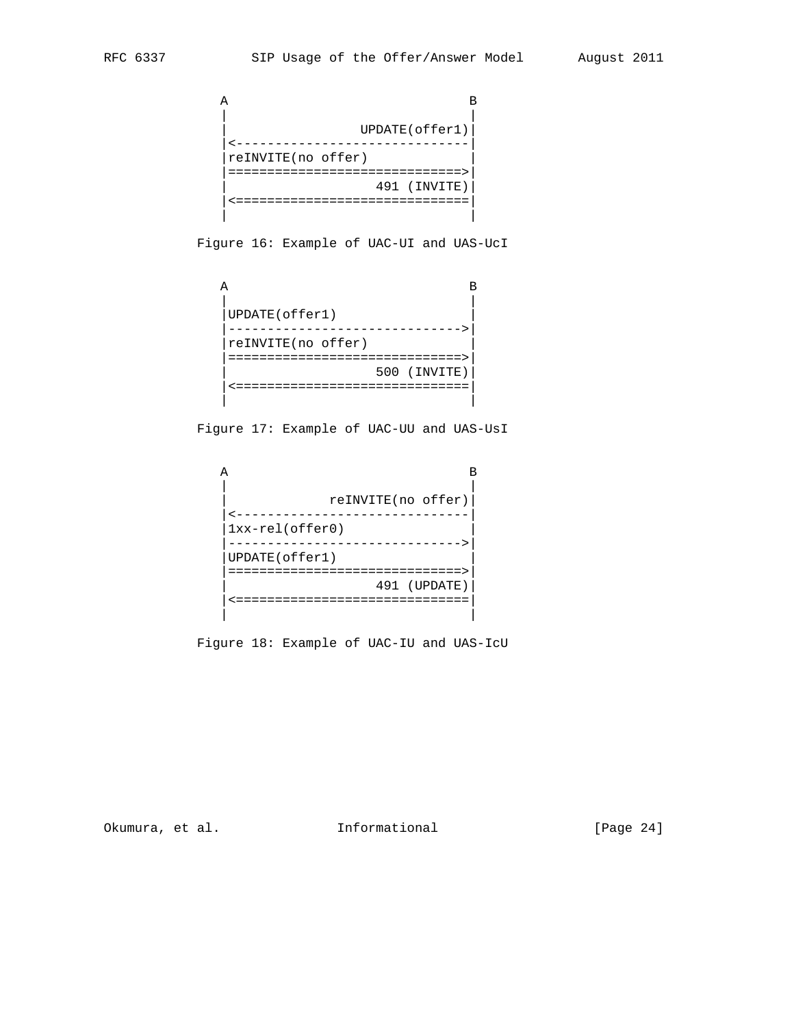```
 A B
| |
               | UPDATE(offer1)|
        |<------------------------------|
        |reINVITE(no offer) |
        |==============================>|
                  | 491 (INVITE)|
         |<==============================|
| |
```
Figure 16: Example of UAC-UI and UAS-UcI

| UPDATE(offer1)<br>reINVITE(no offer) |  |
|--------------------------------------|--|
|                                      |  |
| 500 (INVITE)                         |  |
|                                      |  |
|                                      |  |

Figure 17: Example of UAC-UU and UAS-UsI

| reINVITE(no offer) |
|--------------------|
|                    |
| $1xx-rel(offer0)$  |
|                    |
| UPDATE(offer1)     |
|                    |
| 491 (UPDATE)       |
|                    |
|                    |

Figure 18: Example of UAC-IU and UAS-IcU

Okumura, et al. 1000 Informational [Page 24]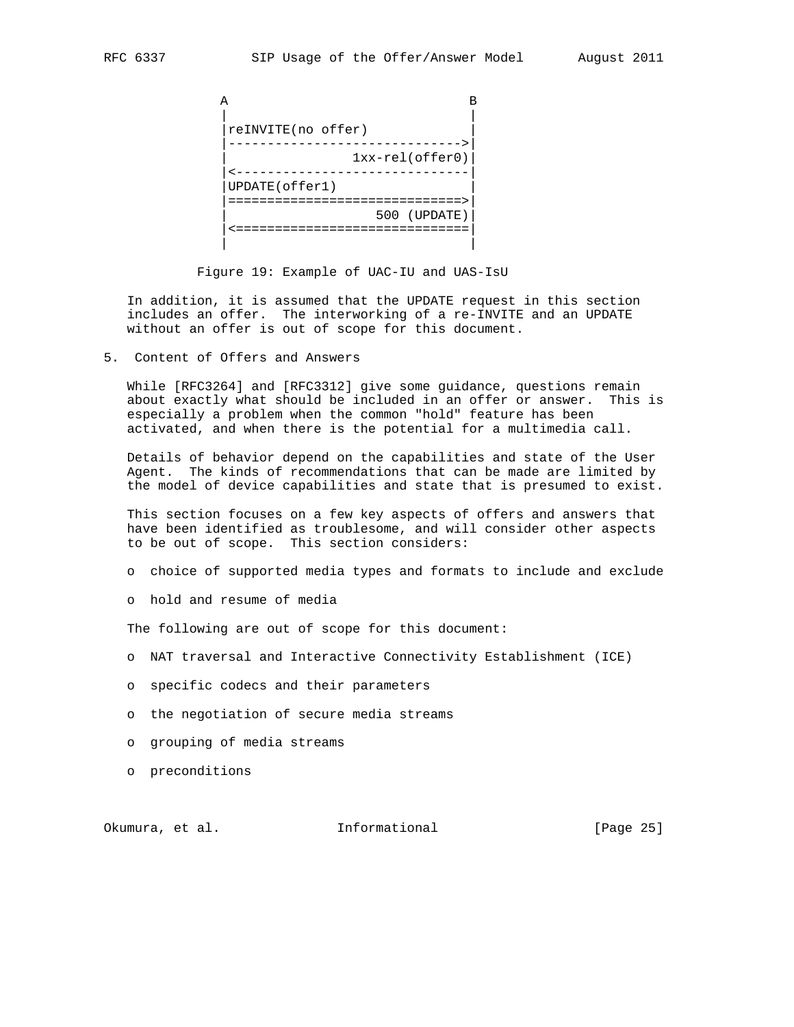| reINVITE(no offer) |
|--------------------|
| $1xx-rel(offer0)$  |
| UPDATE(offer1)     |
| 500 (UPDATE)       |
|                    |

Figure 19: Example of UAC-IU and UAS-IsU

 In addition, it is assumed that the UPDATE request in this section includes an offer. The interworking of a re-INVITE and an UPDATE without an offer is out of scope for this document.

5. Content of Offers and Answers

 While [RFC3264] and [RFC3312] give some guidance, questions remain about exactly what should be included in an offer or answer. This is especially a problem when the common "hold" feature has been activated, and when there is the potential for a multimedia call.

 Details of behavior depend on the capabilities and state of the User Agent. The kinds of recommendations that can be made are limited by the model of device capabilities and state that is presumed to exist.

 This section focuses on a few key aspects of offers and answers that have been identified as troublesome, and will consider other aspects to be out of scope. This section considers:

- o choice of supported media types and formats to include and exclude
- o hold and resume of media

The following are out of scope for this document:

- o NAT traversal and Interactive Connectivity Establishment (ICE)
- o specific codecs and their parameters
- o the negotiation of secure media streams
- o grouping of media streams
- o preconditions

Okumura, et al. 1nformational [Page 25]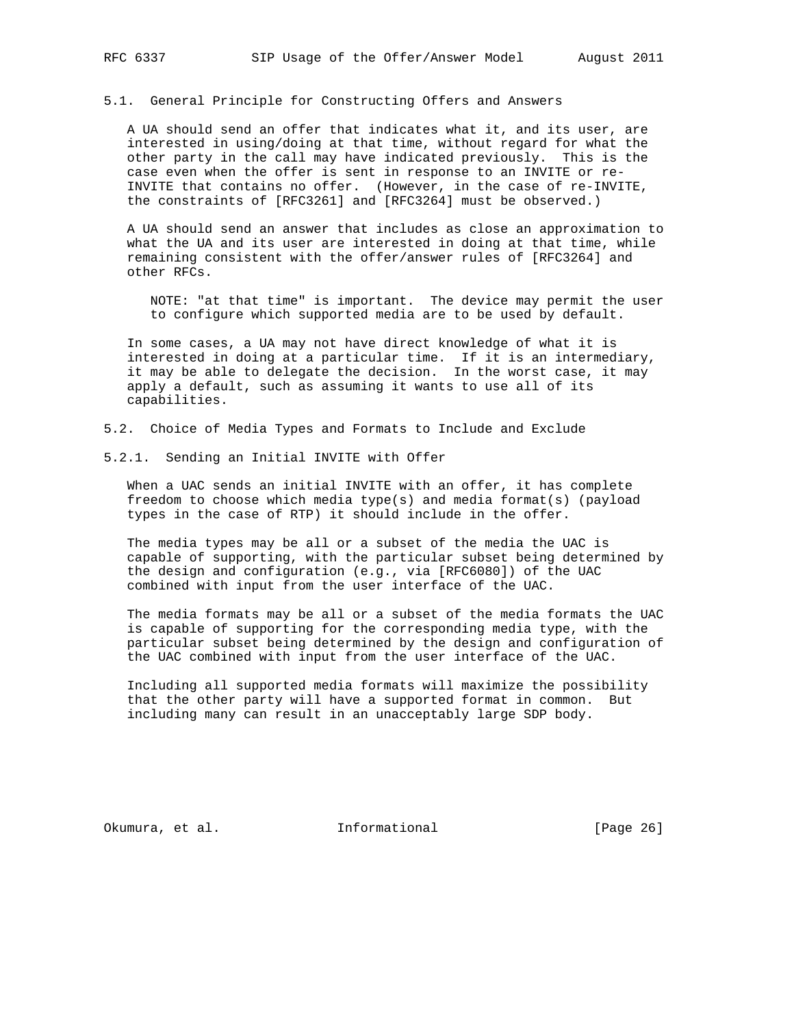5.1. General Principle for Constructing Offers and Answers

 A UA should send an offer that indicates what it, and its user, are interested in using/doing at that time, without regard for what the other party in the call may have indicated previously. This is the case even when the offer is sent in response to an INVITE or re- INVITE that contains no offer. (However, in the case of re-INVITE, the constraints of [RFC3261] and [RFC3264] must be observed.)

 A UA should send an answer that includes as close an approximation to what the UA and its user are interested in doing at that time, while remaining consistent with the offer/answer rules of [RFC3264] and other RFCs.

 NOTE: "at that time" is important. The device may permit the user to configure which supported media are to be used by default.

 In some cases, a UA may not have direct knowledge of what it is interested in doing at a particular time. If it is an intermediary, it may be able to delegate the decision. In the worst case, it may apply a default, such as assuming it wants to use all of its capabilities.

- 5.2. Choice of Media Types and Formats to Include and Exclude
- 5.2.1. Sending an Initial INVITE with Offer

 When a UAC sends an initial INVITE with an offer, it has complete freedom to choose which media type(s) and media format(s) (payload types in the case of RTP) it should include in the offer.

 The media types may be all or a subset of the media the UAC is capable of supporting, with the particular subset being determined by the design and configuration (e.g., via [RFC6080]) of the UAC combined with input from the user interface of the UAC.

 The media formats may be all or a subset of the media formats the UAC is capable of supporting for the corresponding media type, with the particular subset being determined by the design and configuration of the UAC combined with input from the user interface of the UAC.

 Including all supported media formats will maximize the possibility that the other party will have a supported format in common. But including many can result in an unacceptably large SDP body.

Okumura, et al. 100 mm informational [Page 26]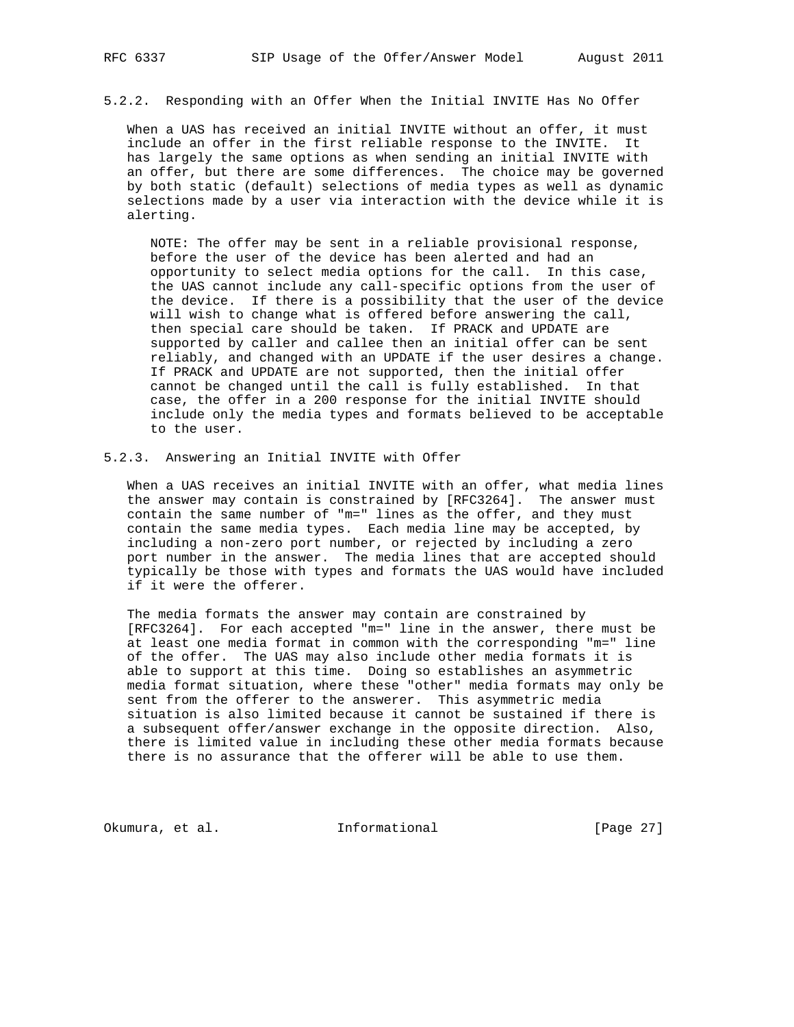5.2.2. Responding with an Offer When the Initial INVITE Has No Offer

 When a UAS has received an initial INVITE without an offer, it must include an offer in the first reliable response to the INVITE. It has largely the same options as when sending an initial INVITE with an offer, but there are some differences. The choice may be governed by both static (default) selections of media types as well as dynamic selections made by a user via interaction with the device while it is alerting.

 NOTE: The offer may be sent in a reliable provisional response, before the user of the device has been alerted and had an opportunity to select media options for the call. In this case, the UAS cannot include any call-specific options from the user of the device. If there is a possibility that the user of the device will wish to change what is offered before answering the call, then special care should be taken. If PRACK and UPDATE are supported by caller and callee then an initial offer can be sent reliably, and changed with an UPDATE if the user desires a change. If PRACK and UPDATE are not supported, then the initial offer cannot be changed until the call is fully established. In that case, the offer in a 200 response for the initial INVITE should include only the media types and formats believed to be acceptable to the user.

#### 5.2.3. Answering an Initial INVITE with Offer

 When a UAS receives an initial INVITE with an offer, what media lines the answer may contain is constrained by [RFC3264]. The answer must contain the same number of "m=" lines as the offer, and they must contain the same media types. Each media line may be accepted, by including a non-zero port number, or rejected by including a zero port number in the answer. The media lines that are accepted should typically be those with types and formats the UAS would have included if it were the offerer.

 The media formats the answer may contain are constrained by [RFC3264]. For each accepted "m=" line in the answer, there must be at least one media format in common with the corresponding "m=" line of the offer. The UAS may also include other media formats it is able to support at this time. Doing so establishes an asymmetric media format situation, where these "other" media formats may only be sent from the offerer to the answerer. This asymmetric media situation is also limited because it cannot be sustained if there is a subsequent offer/answer exchange in the opposite direction. Also, there is limited value in including these other media formats because there is no assurance that the offerer will be able to use them.

Okumura, et al. 1nformational [Page 27]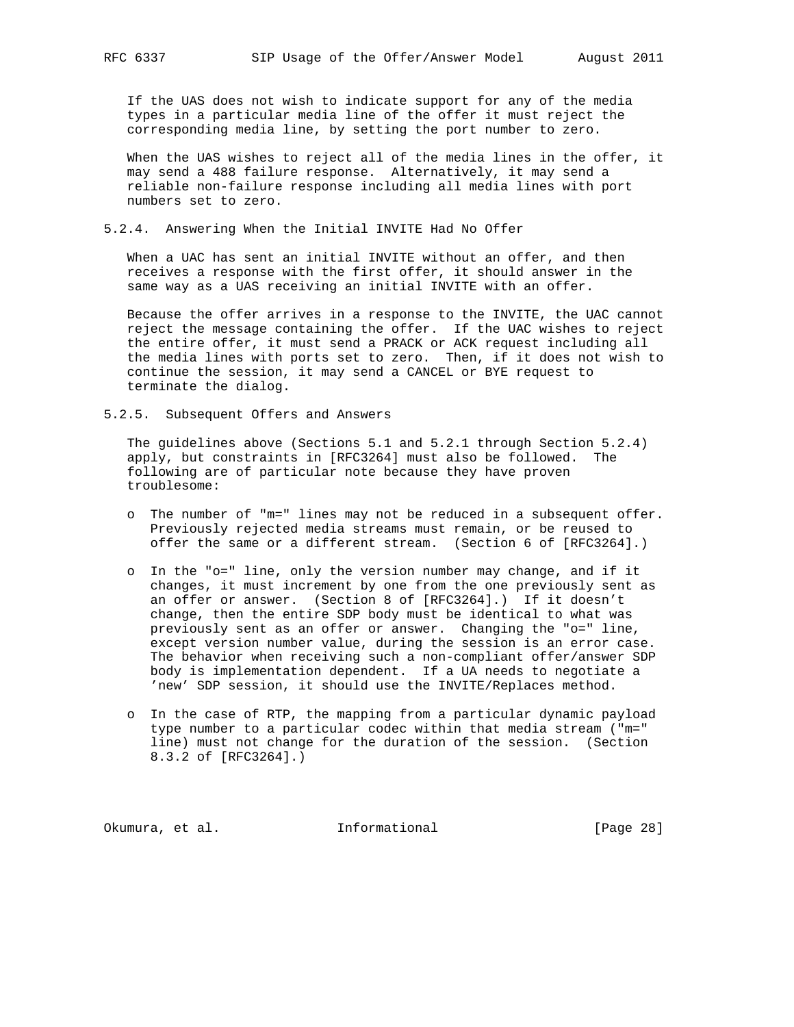If the UAS does not wish to indicate support for any of the media types in a particular media line of the offer it must reject the corresponding media line, by setting the port number to zero.

 When the UAS wishes to reject all of the media lines in the offer, it may send a 488 failure response. Alternatively, it may send a reliable non-failure response including all media lines with port numbers set to zero.

## 5.2.4. Answering When the Initial INVITE Had No Offer

 When a UAC has sent an initial INVITE without an offer, and then receives a response with the first offer, it should answer in the same way as a UAS receiving an initial INVITE with an offer.

 Because the offer arrives in a response to the INVITE, the UAC cannot reject the message containing the offer. If the UAC wishes to reject the entire offer, it must send a PRACK or ACK request including all the media lines with ports set to zero. Then, if it does not wish to continue the session, it may send a CANCEL or BYE request to terminate the dialog.

5.2.5. Subsequent Offers and Answers

 The guidelines above (Sections 5.1 and 5.2.1 through Section 5.2.4) apply, but constraints in [RFC3264] must also be followed. The following are of particular note because they have proven troublesome:

- o The number of "m=" lines may not be reduced in a subsequent offer. Previously rejected media streams must remain, or be reused to offer the same or a different stream. (Section 6 of [RFC3264].)
- o In the "o=" line, only the version number may change, and if it changes, it must increment by one from the one previously sent as an offer or answer. (Section 8 of [RFC3264].) If it doesn't change, then the entire SDP body must be identical to what was previously sent as an offer or answer. Changing the "o=" line, except version number value, during the session is an error case. The behavior when receiving such a non-compliant offer/answer SDP body is implementation dependent. If a UA needs to negotiate a 'new' SDP session, it should use the INVITE/Replaces method.
- o In the case of RTP, the mapping from a particular dynamic payload type number to a particular codec within that media stream ("m=" line) must not change for the duration of the session. (Section 8.3.2 of [RFC3264].)

Okumura, et al. 100 mm informational [Page 28]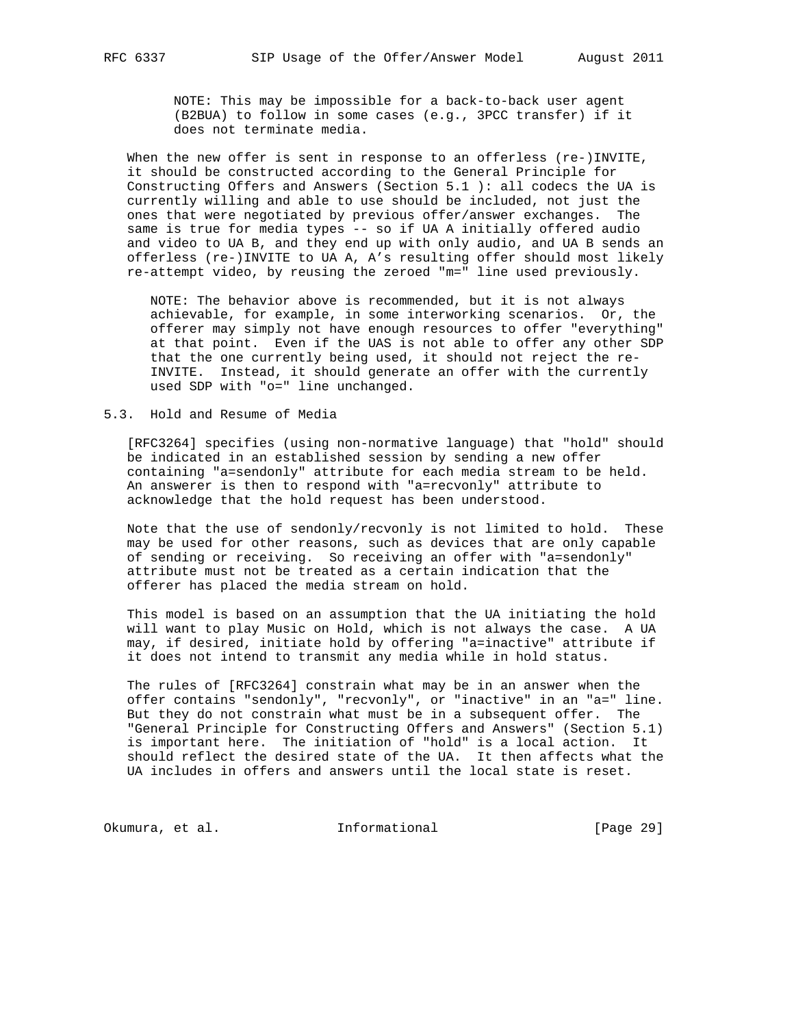NOTE: This may be impossible for a back-to-back user agent (B2BUA) to follow in some cases (e.g., 3PCC transfer) if it does not terminate media.

When the new offer is sent in response to an offerless (re-)INVITE, it should be constructed according to the General Principle for Constructing Offers and Answers (Section 5.1 ): all codecs the UA is currently willing and able to use should be included, not just the ones that were negotiated by previous offer/answer exchanges. The same is true for media types -- so if UA A initially offered audio and video to UA B, and they end up with only audio, and UA B sends an offerless (re-)INVITE to UA A, A's resulting offer should most likely re-attempt video, by reusing the zeroed "m=" line used previously.

 NOTE: The behavior above is recommended, but it is not always achievable, for example, in some interworking scenarios. Or, the offerer may simply not have enough resources to offer "everything" at that point. Even if the UAS is not able to offer any other SDP that the one currently being used, it should not reject the re- INVITE. Instead, it should generate an offer with the currently used SDP with "o=" line unchanged.

5.3. Hold and Resume of Media

 [RFC3264] specifies (using non-normative language) that "hold" should be indicated in an established session by sending a new offer containing "a=sendonly" attribute for each media stream to be held. An answerer is then to respond with "a=recvonly" attribute to acknowledge that the hold request has been understood.

 Note that the use of sendonly/recvonly is not limited to hold. These may be used for other reasons, such as devices that are only capable of sending or receiving. So receiving an offer with "a=sendonly" attribute must not be treated as a certain indication that the offerer has placed the media stream on hold.

 This model is based on an assumption that the UA initiating the hold will want to play Music on Hold, which is not always the case. A UA may, if desired, initiate hold by offering "a=inactive" attribute if it does not intend to transmit any media while in hold status.

 The rules of [RFC3264] constrain what may be in an answer when the offer contains "sendonly", "recvonly", or "inactive" in an "a=" line. But they do not constrain what must be in a subsequent offer. The "General Principle for Constructing Offers and Answers" (Section 5.1) is important here. The initiation of "hold" is a local action. It should reflect the desired state of the UA. It then affects what the UA includes in offers and answers until the local state is reset.

Okumura, et al. 10 Informational 1999 [Page 29]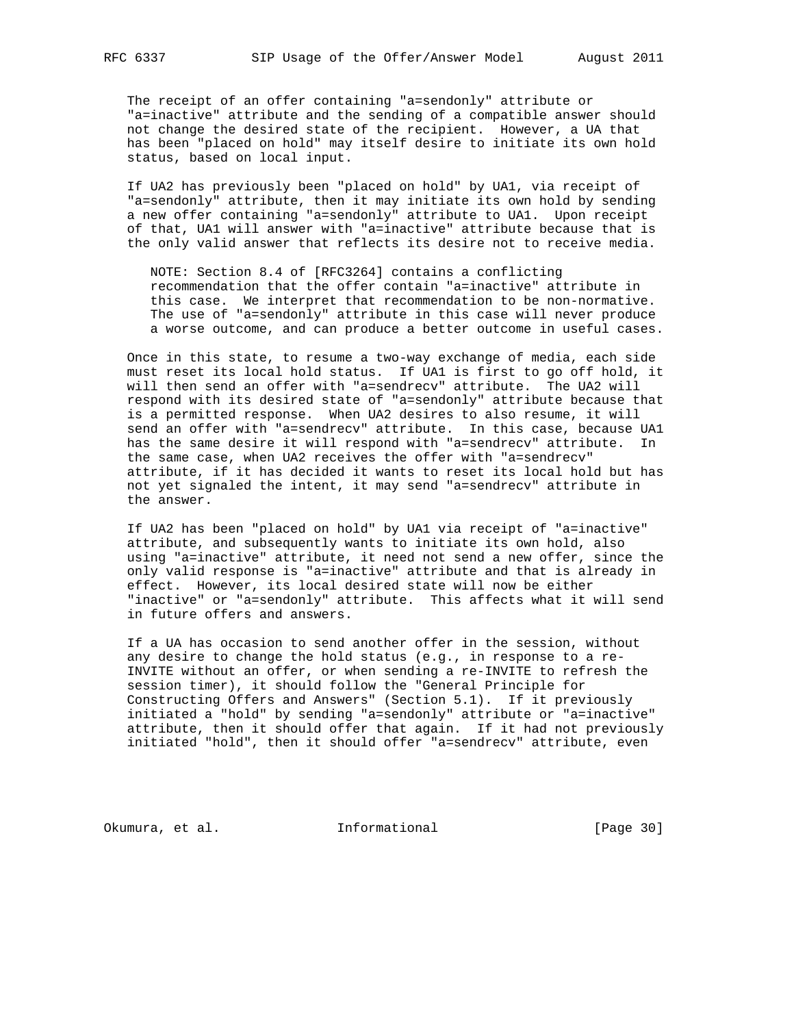The receipt of an offer containing "a=sendonly" attribute or "a=inactive" attribute and the sending of a compatible answer should not change the desired state of the recipient. However, a UA that has been "placed on hold" may itself desire to initiate its own hold status, based on local input.

 If UA2 has previously been "placed on hold" by UA1, via receipt of "a=sendonly" attribute, then it may initiate its own hold by sending a new offer containing "a=sendonly" attribute to UA1. Upon receipt of that, UA1 will answer with "a=inactive" attribute because that is the only valid answer that reflects its desire not to receive media.

 NOTE: Section 8.4 of [RFC3264] contains a conflicting recommendation that the offer contain "a=inactive" attribute in this case. We interpret that recommendation to be non-normative. The use of "a=sendonly" attribute in this case will never produce a worse outcome, and can produce a better outcome in useful cases.

 Once in this state, to resume a two-way exchange of media, each side must reset its local hold status. If UA1 is first to go off hold, it will then send an offer with "a=sendrecv" attribute. The UA2 will respond with its desired state of "a=sendonly" attribute because that is a permitted response. When UA2 desires to also resume, it will send an offer with "a=sendrecv" attribute. In this case, because UA1 has the same desire it will respond with "a=sendrecv" attribute. In the same case, when UA2 receives the offer with "a=sendrecv" attribute, if it has decided it wants to reset its local hold but has not yet signaled the intent, it may send "a=sendrecv" attribute in the answer.

 If UA2 has been "placed on hold" by UA1 via receipt of "a=inactive" attribute, and subsequently wants to initiate its own hold, also using "a=inactive" attribute, it need not send a new offer, since the only valid response is "a=inactive" attribute and that is already in effect. However, its local desired state will now be either "inactive" or "a=sendonly" attribute. This affects what it will send in future offers and answers.

 If a UA has occasion to send another offer in the session, without any desire to change the hold status (e.g., in response to a re- INVITE without an offer, or when sending a re-INVITE to refresh the session timer), it should follow the "General Principle for Constructing Offers and Answers" (Section 5.1). If it previously initiated a "hold" by sending "a=sendonly" attribute or "a=inactive" attribute, then it should offer that again. If it had not previously initiated "hold", then it should offer "a=sendrecv" attribute, even

Okumura, et al. 1nformational [Page 30]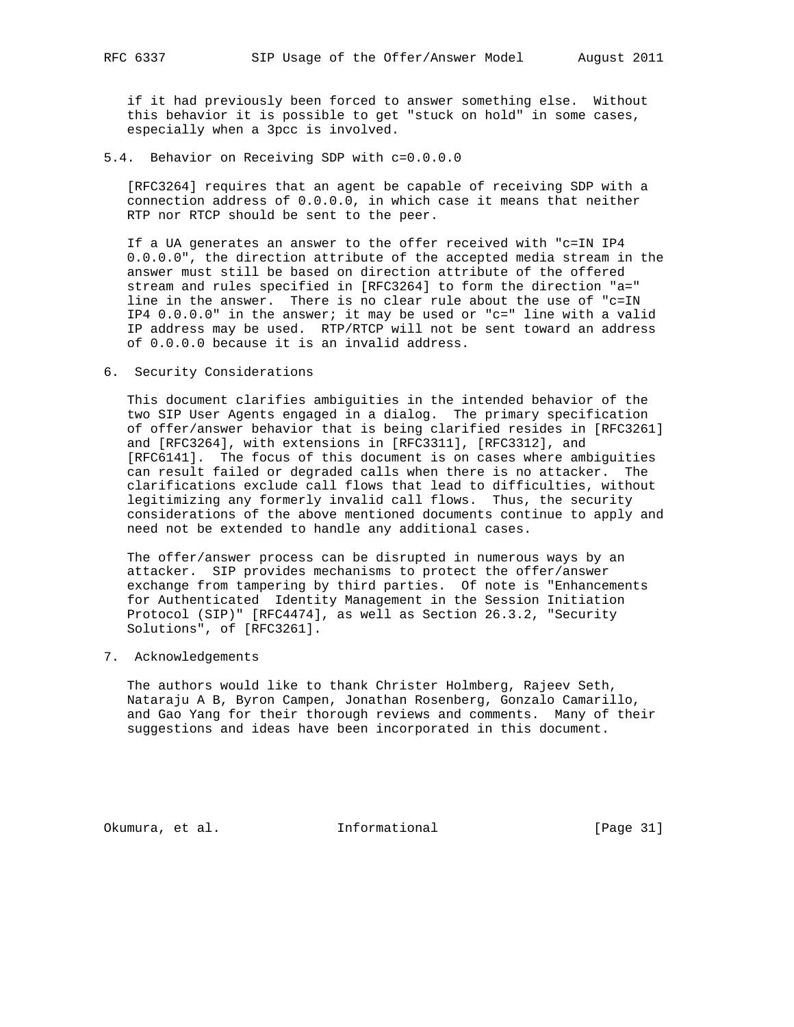if it had previously been forced to answer something else. Without this behavior it is possible to get "stuck on hold" in some cases, especially when a 3pcc is involved.

5.4. Behavior on Receiving SDP with c=0.0.0.0

 [RFC3264] requires that an agent be capable of receiving SDP with a connection address of 0.0.0.0, in which case it means that neither RTP nor RTCP should be sent to the peer.

 If a UA generates an answer to the offer received with "c=IN IP4 0.0.0.0", the direction attribute of the accepted media stream in the answer must still be based on direction attribute of the offered stream and rules specified in [RFC3264] to form the direction "a=" line in the answer. There is no clear rule about the use of "c=IN IP4 0.0.0.0" in the answer; it may be used or "c=" line with a valid IP address may be used. RTP/RTCP will not be sent toward an address of 0.0.0.0 because it is an invalid address.

6. Security Considerations

 This document clarifies ambiguities in the intended behavior of the two SIP User Agents engaged in a dialog. The primary specification of offer/answer behavior that is being clarified resides in [RFC3261] and [RFC3264], with extensions in [RFC3311], [RFC3312], and [RFC6141]. The focus of this document is on cases where ambiguities can result failed or degraded calls when there is no attacker. The clarifications exclude call flows that lead to difficulties, without legitimizing any formerly invalid call flows. Thus, the security considerations of the above mentioned documents continue to apply and need not be extended to handle any additional cases.

 The offer/answer process can be disrupted in numerous ways by an attacker. SIP provides mechanisms to protect the offer/answer exchange from tampering by third parties. Of note is "Enhancements for Authenticated Identity Management in the Session Initiation Protocol (SIP)" [RFC4474], as well as Section 26.3.2, "Security Solutions", of [RFC3261].

7. Acknowledgements

 The authors would like to thank Christer Holmberg, Rajeev Seth, Nataraju A B, Byron Campen, Jonathan Rosenberg, Gonzalo Camarillo, and Gao Yang for their thorough reviews and comments. Many of their suggestions and ideas have been incorporated in this document.

Okumura, et al. 1nformational [Page 31]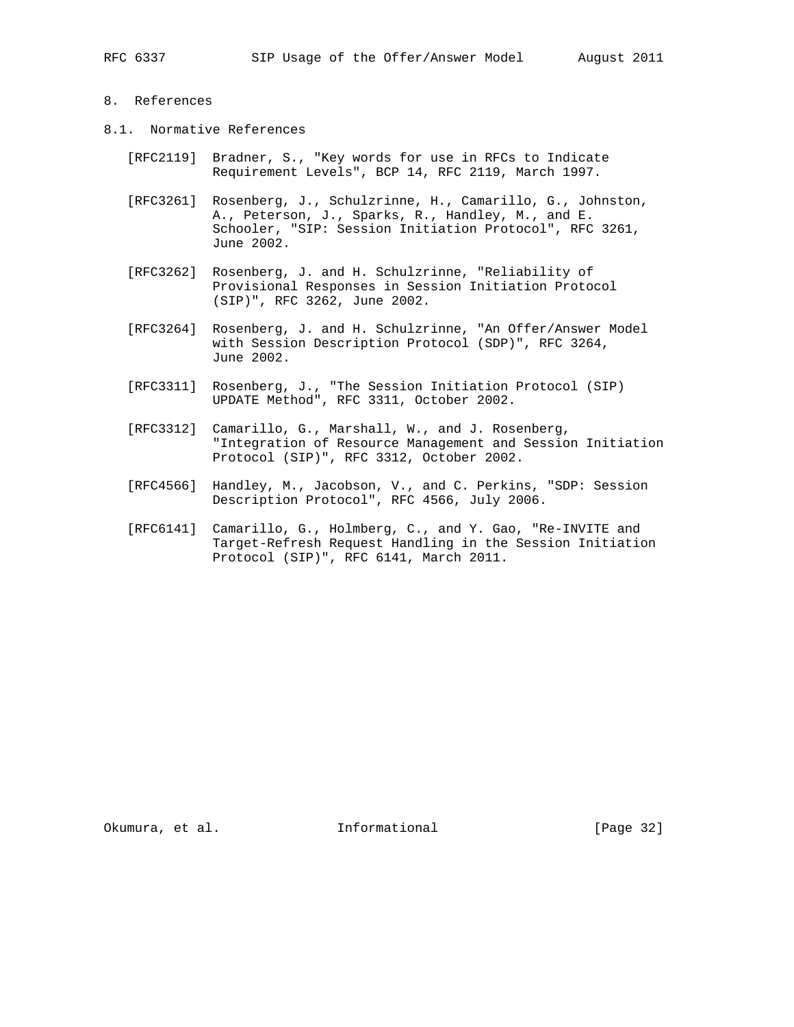## 8. References

- 8.1. Normative References
	- [RFC2119] Bradner, S., "Key words for use in RFCs to Indicate Requirement Levels", BCP 14, RFC 2119, March 1997.
	- [RFC3261] Rosenberg, J., Schulzrinne, H., Camarillo, G., Johnston, A., Peterson, J., Sparks, R., Handley, M., and E. Schooler, "SIP: Session Initiation Protocol", RFC 3261, June 2002.
	- [RFC3262] Rosenberg, J. and H. Schulzrinne, "Reliability of Provisional Responses in Session Initiation Protocol (SIP)", RFC 3262, June 2002.
	- [RFC3264] Rosenberg, J. and H. Schulzrinne, "An Offer/Answer Model with Session Description Protocol (SDP)", RFC 3264, June 2002.
	- [RFC3311] Rosenberg, J., "The Session Initiation Protocol (SIP) UPDATE Method", RFC 3311, October 2002.
	- [RFC3312] Camarillo, G., Marshall, W., and J. Rosenberg, "Integration of Resource Management and Session Initiation Protocol (SIP)", RFC 3312, October 2002.
	- [RFC4566] Handley, M., Jacobson, V., and C. Perkins, "SDP: Session Description Protocol", RFC 4566, July 2006.
	- [RFC6141] Camarillo, G., Holmberg, C., and Y. Gao, "Re-INVITE and Target-Refresh Request Handling in the Session Initiation Protocol (SIP)", RFC 6141, March 2011.

Okumura, et al. 100 mm informational [Page 32]